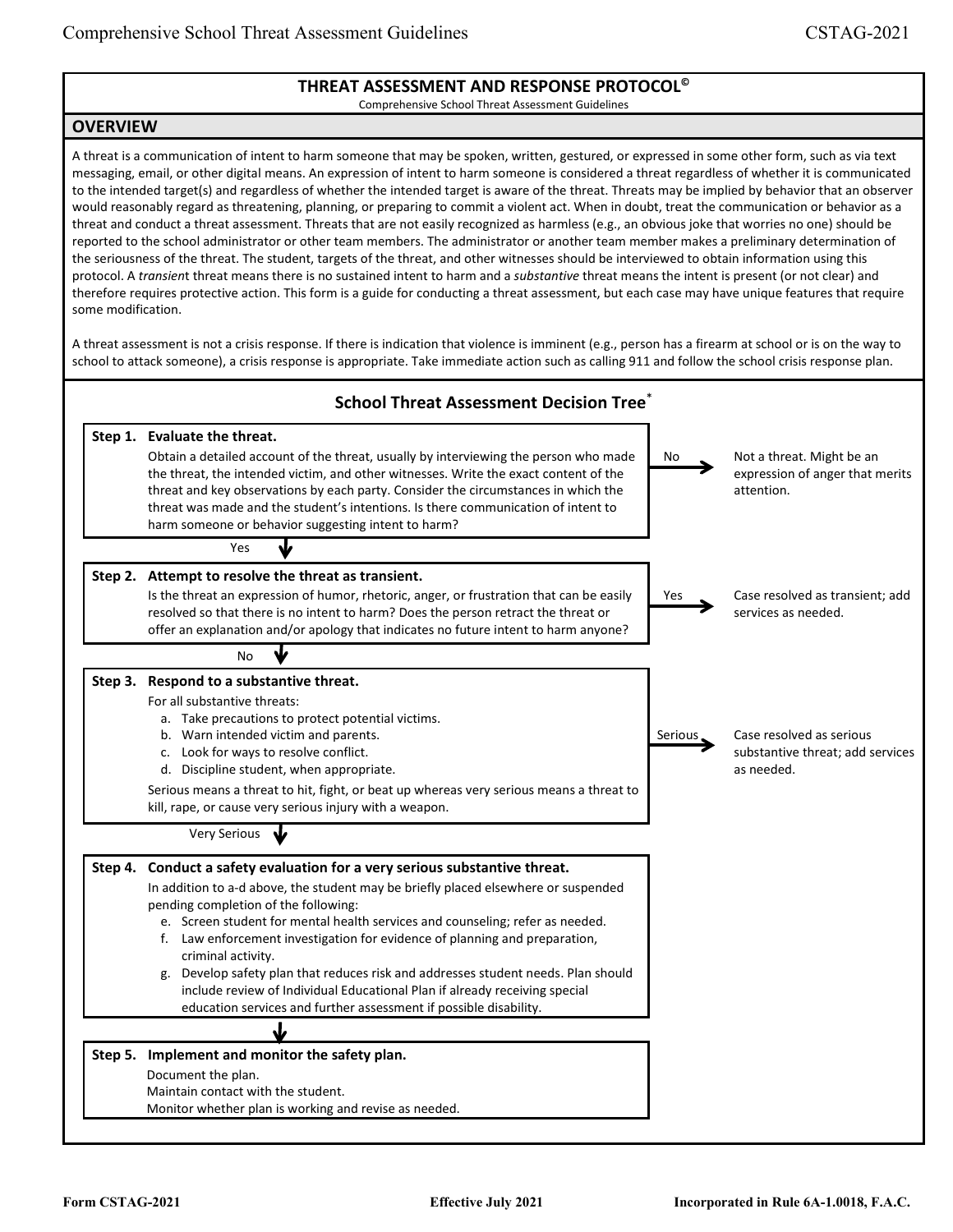# **THREAT ASSESSMENT AND RESPONSE PROTOCOL©**

Comprehensive School Threat Assessment Guidelines

# **OVERVIEW**

A threat is a communication of intent to harm someone that may be spoken, written, gestured, or expressed in some other form, such as via text messaging, email, or other digital means. An expression of intent to harm someone is considered a threat regardless of whether it is communicated to the intended target(s) and regardless of whether the intended target is aware of the threat. Threats may be implied by behavior that an observer would reasonably regard as threatening, planning, or preparing to commit a violent act. When in doubt, treat the communication or behavior as a threat and conduct a threat assessment. Threats that are not easily recognized as harmless (e.g., an obvious joke that worries no one) should be reported to the school administrator or other team members. The administrator or another team member makes a preliminary determination of the seriousness of the threat. The student, targets of the threat, and other witnesses should be interviewed to obtain information using this protocol. A *transien*t threat means there is no sustained intent to harm and a *substantive* threat means the intent is present (or not clear) and therefore requires protective action. This form is a guide for conducting a threat assessment, but each case may have unique features that require some modification.

A threat assessment is not a crisis response. If there is indication that violence is imminent (e.g., person has a firearm at school or is on the way to school to attack someone), a crisis response is appropriate. Take immediate action such as calling 911 and follow the school crisis response plan.

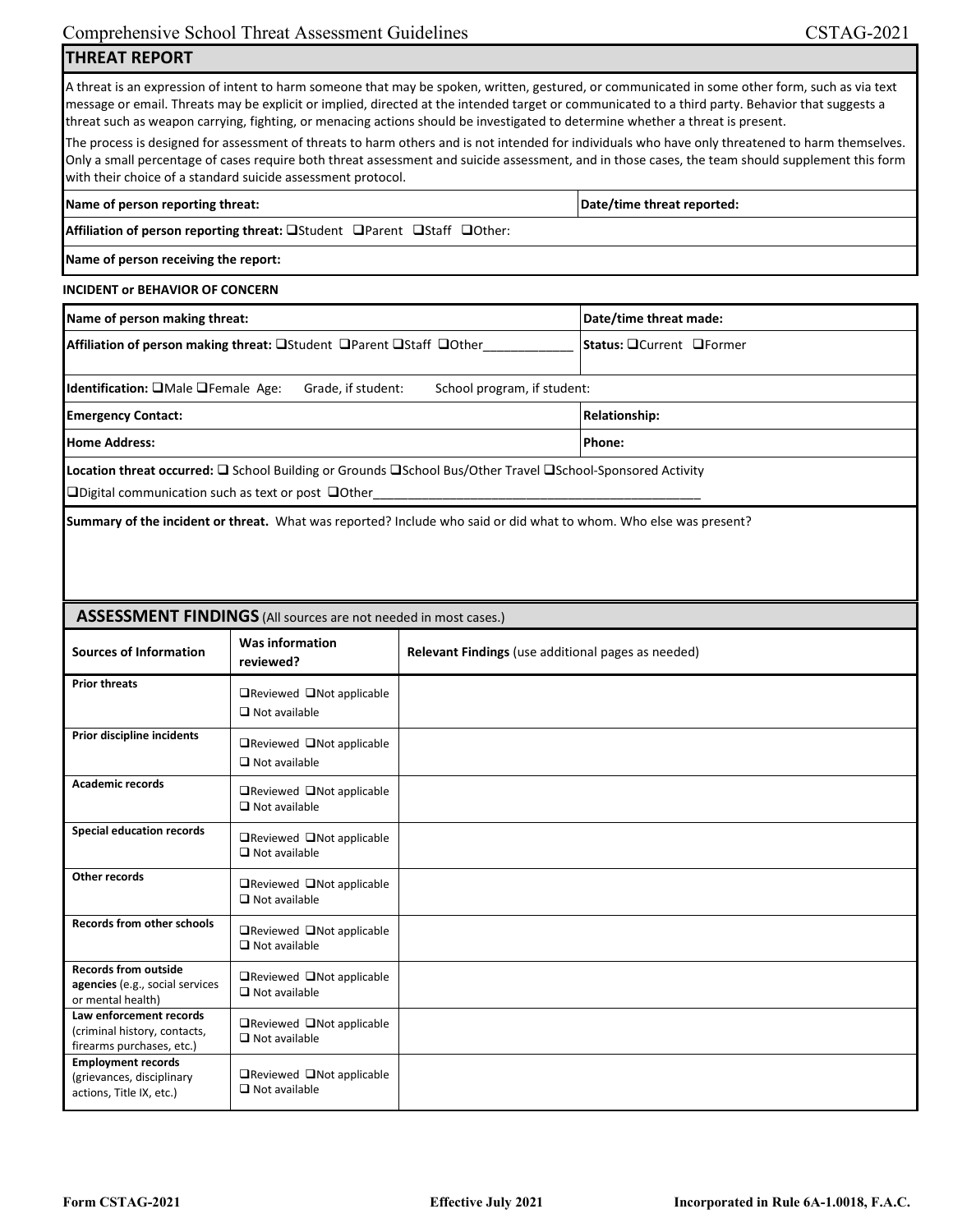# **THREAT REPORT**

A threat is an expression of intent to harm someone that may be spoken, written, gestured, or communicated in some other form, such as via text message or email. Threats may be explicit or implied, directed at the intended target or communicated to a third party. Behavior that suggests a threat such as weapon carrying, fighting, or menacing actions should be investigated to determine whether a threat is present.

The process is designed for assessment of threats to harm others and is not intended for individuals who have only threatened to harm themselves. Only a small percentage of cases require both threat assessment and suicide assessment, and in those cases, the team should supplement this form with their choice of a standard suicide assessment protocol.

| Name of person reporting threat:                                                                | Date/time threat reported: |
|-------------------------------------------------------------------------------------------------|----------------------------|
| Affiliation of person reporting threat: $\Box$ Student $\Box$ Parent $\Box$ Staff $\Box$ Other: |                            |

**Name of person receiving the report:**

# **INCIDENT or BEHAVIOR OF CONCERN**

| Name of person making threat:                                                                                | Date/time threat made:           |  |
|--------------------------------------------------------------------------------------------------------------|----------------------------------|--|
| Affiliation of person making threat: □Student □Parent □Staff □Other                                          | <b>Status: □</b> Current □Former |  |
|                                                                                                              |                                  |  |
| Identification: <b>U</b> Male UFemale Age:<br>Grade, if student:<br>School program, if student:              |                                  |  |
| <b>Emergency Contact:</b>                                                                                    | <b>Relationship:</b>             |  |
| Home Address:                                                                                                | <b>Phone:</b>                    |  |
| Location threat occurred: □ School Building or Grounds □ School Bus/Other Travel □ School-Sponsored Activity |                                  |  |
| $\Box$ Digital communication such as text or post $\Box$ Other                                               |                                  |  |

**Summary of the incident or threat.** What was reported? Include who said or did what to whom. Who else was present?

| ASSESSMENT FINDINGS (All sources are not needed in most cases.)                      |                                                               |                                                    |  |
|--------------------------------------------------------------------------------------|---------------------------------------------------------------|----------------------------------------------------|--|
| <b>Sources of Information</b>                                                        | Was information<br>reviewed?                                  | Relevant Findings (use additional pages as needed) |  |
| <b>Prior threats</b>                                                                 | $\Box$ Reviewed $\Box$ Not applicable<br>$\Box$ Not available |                                                    |  |
| Prior discipline incidents                                                           | $\Box$ Reviewed $\Box$ Not applicable<br>$\Box$ Not available |                                                    |  |
| <b>Academic records</b>                                                              | $\Box$ Reviewed $\Box$ Not applicable<br>$\Box$ Not available |                                                    |  |
| <b>Special education records</b>                                                     | $\Box$ Reviewed $\Box$ Not applicable<br>$\Box$ Not available |                                                    |  |
| Other records                                                                        | $\Box$ Reviewed $\Box$ Not applicable<br>$\Box$ Not available |                                                    |  |
| <b>Records from other schools</b>                                                    | $\Box$ Reviewed $\Box$ Not applicable<br>$\Box$ Not available |                                                    |  |
| <b>Records from outside</b><br>agencies (e.g., social services<br>or mental health)  | $\Box$ Reviewed $\Box$ Not applicable<br>$\Box$ Not available |                                                    |  |
| Law enforcement records<br>(criminal history, contacts,<br>firearms purchases, etc.) | $\Box$ Reviewed $\Box$ Not applicable<br>$\Box$ Not available |                                                    |  |
| <b>Employment records</b><br>(grievances, disciplinary<br>actions, Title IX, etc.)   | □Reviewed □Not applicable<br>$\Box$ Not available             |                                                    |  |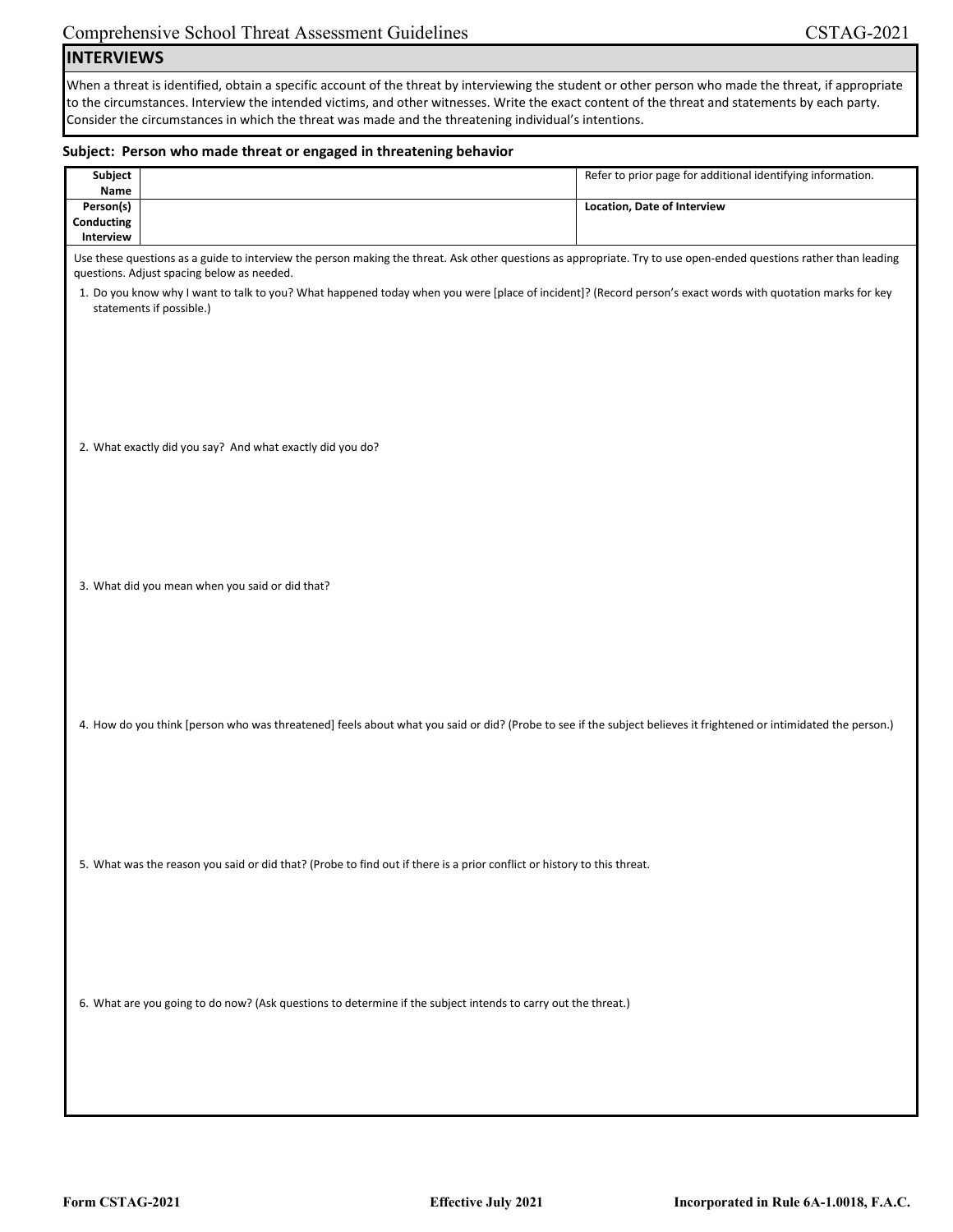# **INTERVIEWS**

When a threat is identified, obtain a specific account of the threat by interviewing the student or other person who made the threat, if appropriate to the circumstances. Interview the intended victims, and other witnesses. Write the exact content of the threat and statements by each party. Consider the circumstances in which the threat was made and the threatening individual's intentions.

# **Subject: Person who made threat or engaged in threatening behavior**

| Subject    | Refer to prior page for additional identifying information. |
|------------|-------------------------------------------------------------|
| Name       |                                                             |
| Person(s)  | Location, Date of Interview                                 |
| Conducting |                                                             |
| Interview  |                                                             |

Use these questions as a guide to interview the person making the threat. Ask other questions as appropriate. Try to use open-ended questions rather than leading questions. Adjust spacing below as needed.

- 1. Do you know why I want to talk to you? What happened today when you were [place of incident]? (Record person's exact words with quotation marks for key statements if possible.)
- 2. What exactly did you say? And what exactly did you do?

3. What did you mean when you said or did that?

4. How do you think [person who was threatened] feels about what you said or did? (Probe to see if the subject believes it frightened or intimidated the person.)

5. What was the reason you said or did that? (Probe to find out if there is a prior conflict or history to this threat.

6. What are you going to do now? (Ask questions to determine if the subject intends to carry out the threat.)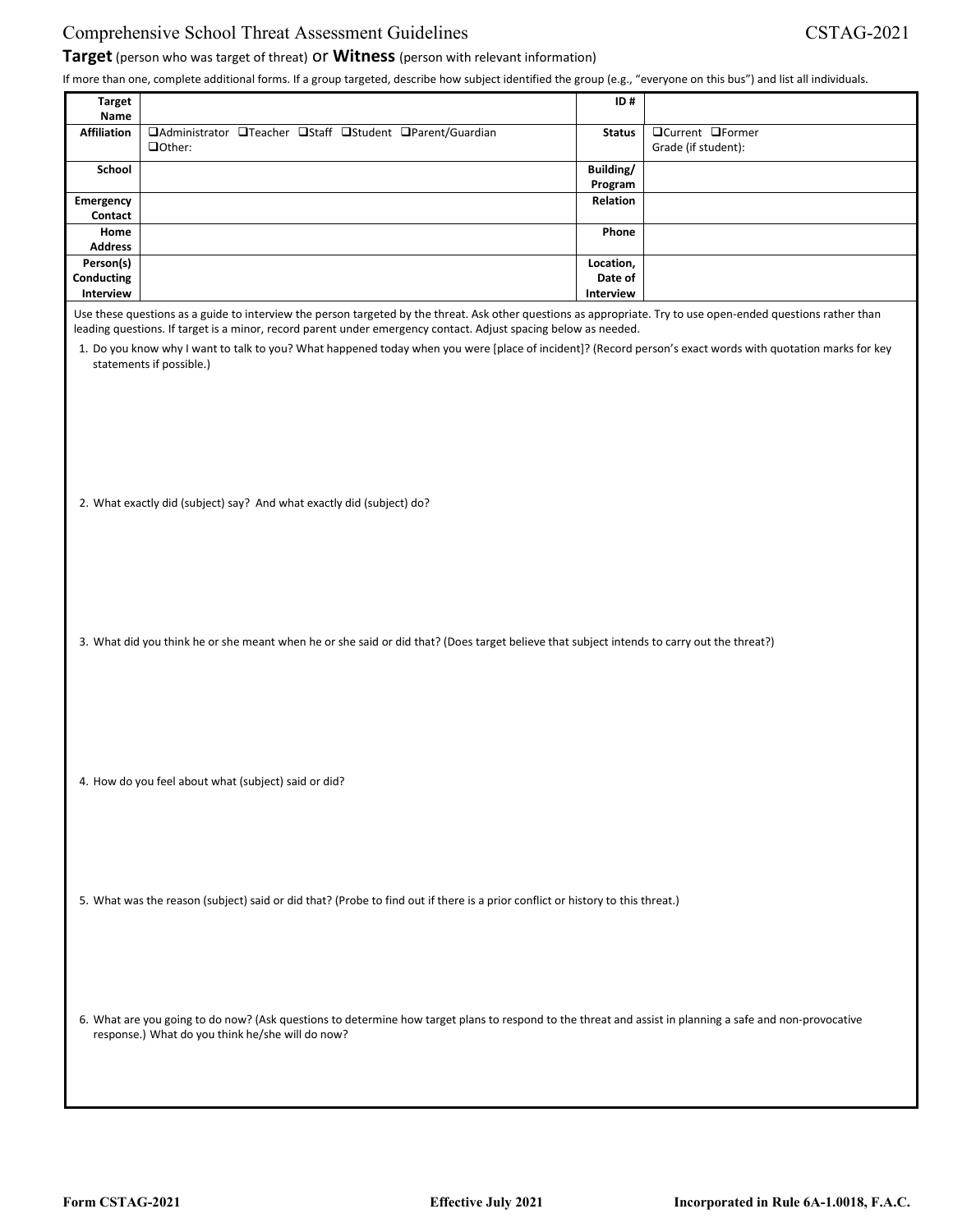# **Target**(person who was target of threat) or **Witness** (person with relevant information)

If more than one, complete additional forms. If a group targeted, describe how subject identified the group (e.g., "everyone on this bus") and list all individuals.

| <b>Target</b><br>Name   |                                                                                                                                                                                                                                                                                                                                                                                                                                                 | ID#                  |                                                |
|-------------------------|-------------------------------------------------------------------------------------------------------------------------------------------------------------------------------------------------------------------------------------------------------------------------------------------------------------------------------------------------------------------------------------------------------------------------------------------------|----------------------|------------------------------------------------|
| <b>Affiliation</b>      | □Administrator □Teacher □Staff □Student □Parent/Guardian<br>□Other:                                                                                                                                                                                                                                                                                                                                                                             | <b>Status</b>        | <b>QCurrent QFormer</b><br>Grade (if student): |
| School                  |                                                                                                                                                                                                                                                                                                                                                                                                                                                 | Building/<br>Program |                                                |
| Emergency<br>Contact    |                                                                                                                                                                                                                                                                                                                                                                                                                                                 | <b>Relation</b>      |                                                |
| Home<br><b>Address</b>  |                                                                                                                                                                                                                                                                                                                                                                                                                                                 | Phone                |                                                |
| Person(s)<br>Conducting |                                                                                                                                                                                                                                                                                                                                                                                                                                                 | Location,<br>Date of |                                                |
| Interview               |                                                                                                                                                                                                                                                                                                                                                                                                                                                 | Interview            |                                                |
|                         | Use these questions as a guide to interview the person targeted by the threat. Ask other questions as appropriate. Try to use open-ended questions rather than<br>leading questions. If target is a minor, record parent under emergency contact. Adjust spacing below as needed.<br>1. Do you know why I want to talk to you? What happened today when you were [place of incident]? (Record person's exact words with quotation marks for key |                      |                                                |
|                         | statements if possible.)                                                                                                                                                                                                                                                                                                                                                                                                                        |                      |                                                |
|                         |                                                                                                                                                                                                                                                                                                                                                                                                                                                 |                      |                                                |
|                         |                                                                                                                                                                                                                                                                                                                                                                                                                                                 |                      |                                                |
|                         |                                                                                                                                                                                                                                                                                                                                                                                                                                                 |                      |                                                |
|                         | 2. What exactly did (subject) say? And what exactly did (subject) do?                                                                                                                                                                                                                                                                                                                                                                           |                      |                                                |
|                         |                                                                                                                                                                                                                                                                                                                                                                                                                                                 |                      |                                                |
|                         |                                                                                                                                                                                                                                                                                                                                                                                                                                                 |                      |                                                |
|                         |                                                                                                                                                                                                                                                                                                                                                                                                                                                 |                      |                                                |
|                         | 3. What did you think he or she meant when he or she said or did that? (Does target believe that subject intends to carry out the threat?)                                                                                                                                                                                                                                                                                                      |                      |                                                |
|                         |                                                                                                                                                                                                                                                                                                                                                                                                                                                 |                      |                                                |
|                         |                                                                                                                                                                                                                                                                                                                                                                                                                                                 |                      |                                                |
|                         |                                                                                                                                                                                                                                                                                                                                                                                                                                                 |                      |                                                |
|                         |                                                                                                                                                                                                                                                                                                                                                                                                                                                 |                      |                                                |
|                         | 4. How do you feel about what (subject) said or did?                                                                                                                                                                                                                                                                                                                                                                                            |                      |                                                |
|                         |                                                                                                                                                                                                                                                                                                                                                                                                                                                 |                      |                                                |
|                         |                                                                                                                                                                                                                                                                                                                                                                                                                                                 |                      |                                                |
|                         | 5. What was the reason (subject) said or did that? (Probe to find out if there is a prior conflict or history to this threat.)                                                                                                                                                                                                                                                                                                                  |                      |                                                |
|                         |                                                                                                                                                                                                                                                                                                                                                                                                                                                 |                      |                                                |
|                         |                                                                                                                                                                                                                                                                                                                                                                                                                                                 |                      |                                                |
|                         |                                                                                                                                                                                                                                                                                                                                                                                                                                                 |                      |                                                |
|                         | 6. What are you going to do now? (Ask questions to determine how target plans to respond to the threat and assist in planning a safe and non-provocative<br>response.) What do you think he/she will do now?                                                                                                                                                                                                                                    |                      |                                                |
|                         |                                                                                                                                                                                                                                                                                                                                                                                                                                                 |                      |                                                |
|                         |                                                                                                                                                                                                                                                                                                                                                                                                                                                 |                      |                                                |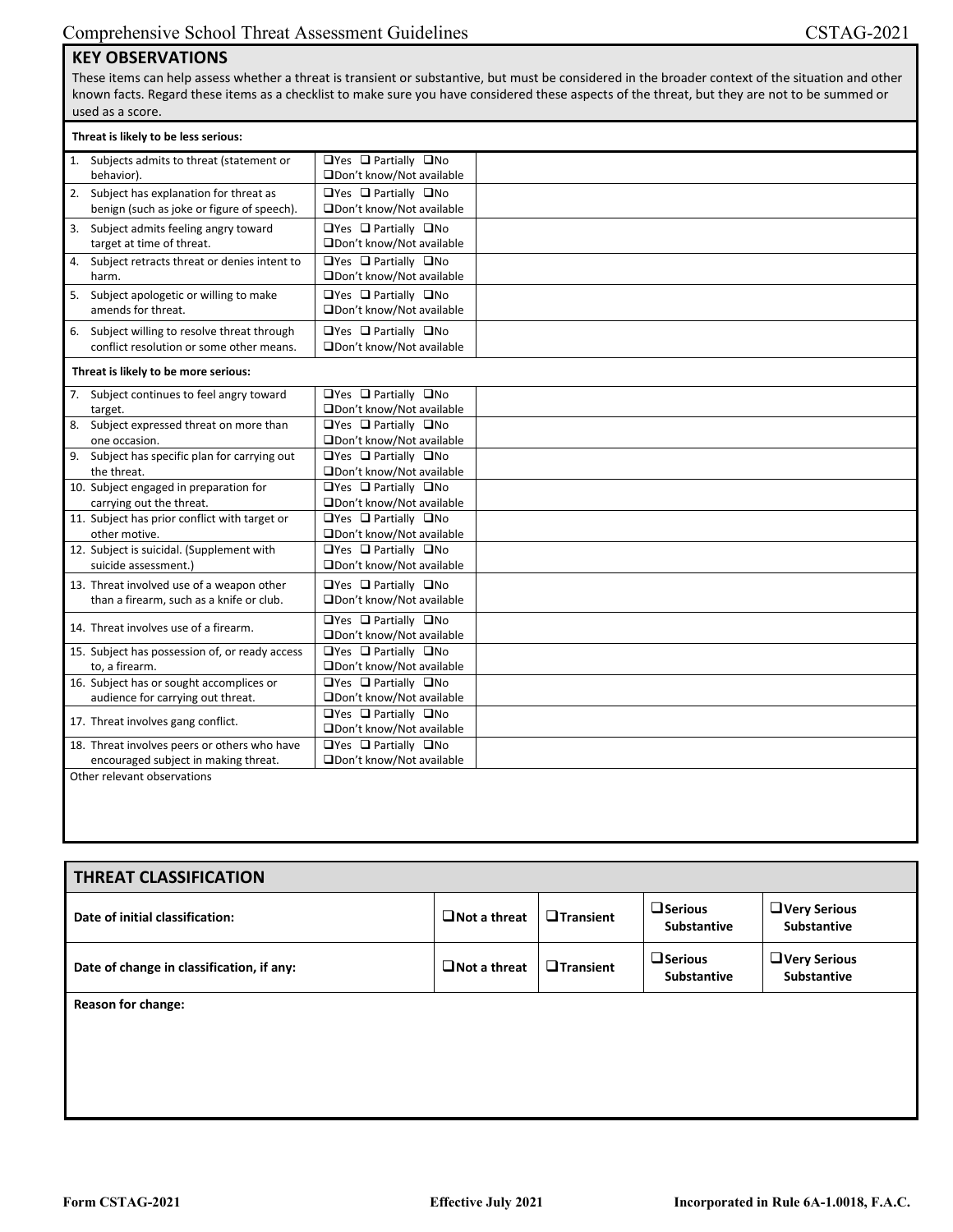# **KEY OBSERVATIONS**

These items can help assess whether a threat is transient or substantive, but must be considered in the broader context of the situation and other known facts. Regard these items as a checklist to make sure you have considered these aspects of the threat, but they are not to be summed or used as a score.

| Threat is likely to be less serious:                                                     |                                                                    |  |  |
|------------------------------------------------------------------------------------------|--------------------------------------------------------------------|--|--|
| 1. Subjects admits to threat (statement or<br>behavior).                                 | $\Box$ Yes $\Box$ Partially $\Box$ No<br>□Don't know/Not available |  |  |
| 2. Subject has explanation for threat as<br>benign (such as joke or figure of speech).   | $\Box$ Yes $\Box$ Partially $\Box$ No<br>□Don't know/Not available |  |  |
| 3. Subject admits feeling angry toward<br>target at time of threat.                      | $\Box$ Yes $\Box$ Partially $\Box$ No<br>□Don't know/Not available |  |  |
| 4. Subject retracts threat or denies intent to<br>harm.                                  | $\Box$ Yes $\Box$ Partially $\Box$ No<br>□Don't know/Not available |  |  |
| 5. Subject apologetic or willing to make<br>amends for threat.                           | $\Box$ Yes $\Box$ Partially $\Box$ No<br>□Don't know/Not available |  |  |
| 6. Subject willing to resolve threat through<br>conflict resolution or some other means. | $\Box$ Yes $\Box$ Partially $\Box$ No<br>□Don't know/Not available |  |  |
| Threat is likely to be more serious:                                                     |                                                                    |  |  |
| 7. Subject continues to feel angry toward<br>target.                                     | $\Box$ Yes $\Box$ Partially $\Box$ No<br>□Don't know/Not available |  |  |
| 8. Subject expressed threat on more than<br>one occasion.                                | $\Box$ Yes $\Box$ Partially $\Box$ No<br>□Don't know/Not available |  |  |
| 9. Subject has specific plan for carrying out<br>the threat.                             | $\Box$ Yes $\Box$ Partially $\Box$ No<br>□Don't know/Not available |  |  |
| 10. Subject engaged in preparation for<br>carrying out the threat.                       | $\Box$ Yes $\Box$ Partially $\Box$ No<br>□Don't know/Not available |  |  |
| 11. Subject has prior conflict with target or<br>other motive.                           | $\Box$ Yes $\Box$ Partially $\Box$ No<br>□Don't know/Not available |  |  |
| 12. Subject is suicidal. (Supplement with<br>suicide assessment.)                        | □Yes □ Partially □No<br>□Don't know/Not available                  |  |  |
| 13. Threat involved use of a weapon other<br>than a firearm, such as a knife or club.    | $\Box$ Yes $\Box$ Partially $\Box$ No<br>□Don't know/Not available |  |  |
| 14. Threat involves use of a firearm.                                                    | $\Box$ Yes $\Box$ Partially $\Box$ No<br>□Don't know/Not available |  |  |
| 15. Subject has possession of, or ready access<br>to, a firearm.                         | $\Box$ Yes $\Box$ Partially $\Box$ No<br>□Don't know/Not available |  |  |
| 16. Subject has or sought accomplices or<br>audience for carrying out threat.            | $\Box$ Yes $\Box$ Partially $\Box$ No<br>□Don't know/Not available |  |  |
| 17. Threat involves gang conflict.                                                       | □Yes □ Partially □No<br>□Don't know/Not available                  |  |  |
| 18. Threat involves peers or others who have<br>encouraged subject in making threat.     | $\Box$ Yes $\Box$ Partially $\Box$ No<br>□Don't know/Not available |  |  |
| Other relevant observations                                                              |                                                                    |  |  |

| <b>THREAT CLASSIFICATION</b>              |                     |                  |                                      |                                           |
|-------------------------------------------|---------------------|------------------|--------------------------------------|-------------------------------------------|
| Date of initial classification:           | $\Box$ Not a threat | $\Box$ Transient | $\Box$ Serious<br>Substantive        | $\Box$ Very Serious<br><b>Substantive</b> |
| Date of change in classification, if any: | $\Box$ Not a threat | $\Box$ Transient | $\Box$ Serious<br><b>Substantive</b> | $\Box$ Very Serious<br>Substantive        |
| <b>Reason for change:</b>                 |                     |                  |                                      |                                           |
|                                           |                     |                  |                                      |                                           |
|                                           |                     |                  |                                      |                                           |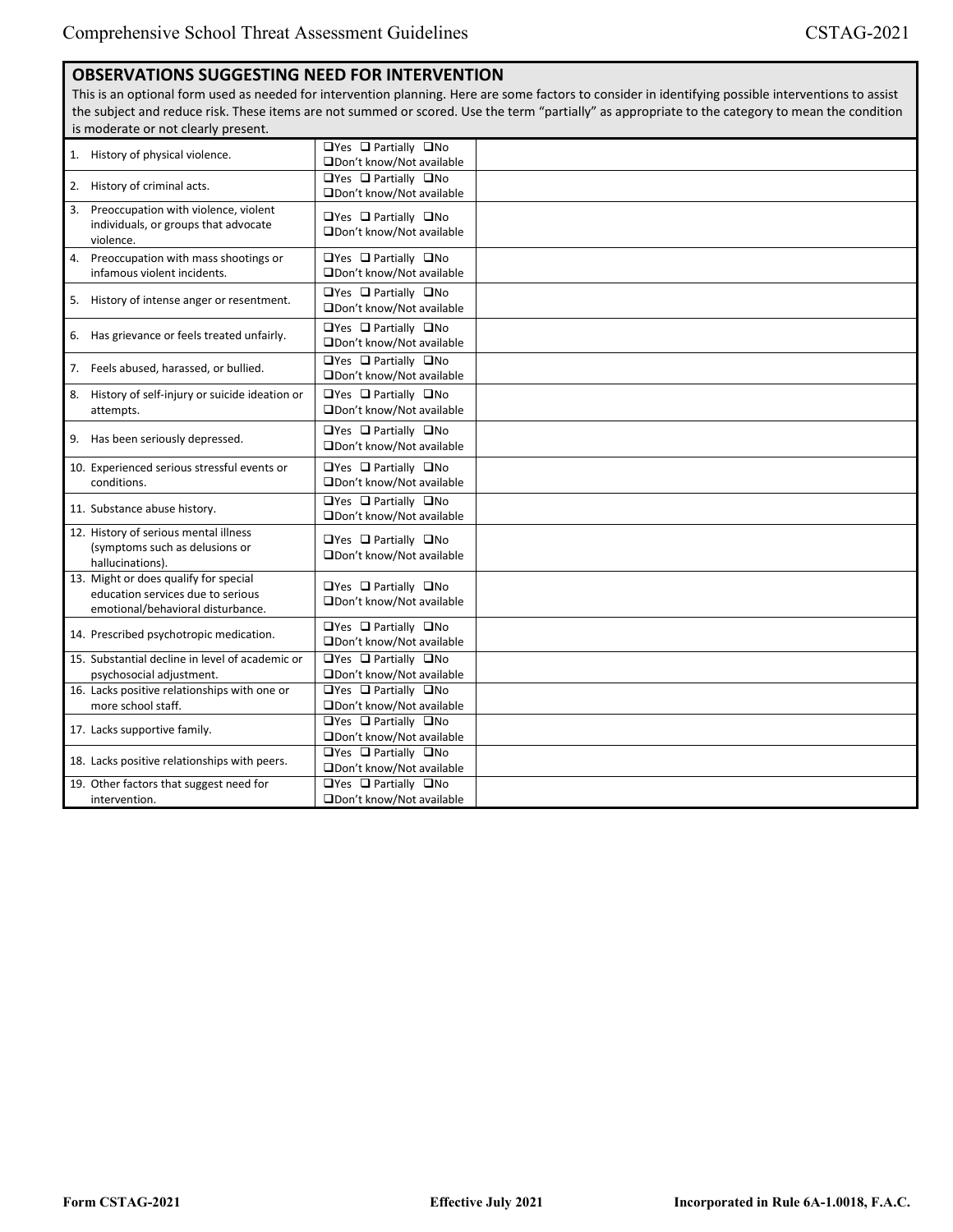# **OBSERVATIONS SUGGESTING NEED FOR INTERVENTION**

This is an optional form used as needed for intervention planning. Here are some factors to consider in identifying possible interventions to assist the subject and reduce risk. These items are not summed or scored. Use the term "partially" as appropriate to the category to mean the condition is moderate or not clearly present.

| 1. History of physical violence.                                                                                | $\Box$ Yes $\Box$ Partially $\Box$ No<br>□Don't know/Not available                                           |  |
|-----------------------------------------------------------------------------------------------------------------|--------------------------------------------------------------------------------------------------------------|--|
| 2. History of criminal acts.                                                                                    | $\Box$ Yes $\Box$ Partially $\Box$ No<br>□Don't know/Not available                                           |  |
| 3. Preoccupation with violence, violent<br>individuals, or groups that advocate<br>violence.                    | $\Box$ Yes $\Box$ Partially $\Box$ No<br>□Don't know/Not available                                           |  |
| 4. Preoccupation with mass shootings or<br>infamous violent incidents.                                          | $\Box$ Yes $\Box$ Partially $\Box$ No<br>□Don't know/Not available                                           |  |
| 5. History of intense anger or resentment.                                                                      | $\Box$ Yes $\Box$ Partially $\Box$ No<br>□Don't know/Not available                                           |  |
| 6. Has grievance or feels treated unfairly.                                                                     | $\Box$ Yes $\Box$ Partially $\Box$ No<br>□Don't know/Not available                                           |  |
| 7. Feels abused, harassed, or bullied.                                                                          | $\overline{\square}$ Yes $\overline{\square}$ Partially $\overline{\square}$ No<br>□Don't know/Not available |  |
| 8. History of self-injury or suicide ideation or<br>attempts.                                                   | $\Box$ Yes $\Box$ Partially $\Box$ No<br>□Don't know/Not available                                           |  |
| 9. Has been seriously depressed.                                                                                | $\Box$ Yes $\Box$ Partially $\Box$ No<br>□Don't know/Not available                                           |  |
| 10. Experienced serious stressful events or<br>conditions.                                                      | $\Box$ Yes $\Box$ Partially $\Box$ No<br>□Don't know/Not available                                           |  |
| 11. Substance abuse history.                                                                                    | $\Box$ Yes $\Box$ Partially $\Box$ No<br>Don't know/Not available                                            |  |
| 12. History of serious mental illness<br>(symptoms such as delusions or<br>hallucinations).                     | $\Box$ Yes $\Box$ Partially $\Box$ No<br>□Don't know/Not available                                           |  |
| 13. Might or does qualify for special<br>education services due to serious<br>emotional/behavioral disturbance. | $\Box$ Yes $\Box$ Partially $\Box$ No<br>□Don't know/Not available                                           |  |
| 14. Prescribed psychotropic medication.                                                                         | $\Box$ Yes $\Box$ Partially $\Box$ No<br>□Don't know/Not available                                           |  |
| 15. Substantial decline in level of academic or<br>psychosocial adjustment.                                     | $\Box$ Yes $\Box$ Partially $\Box$ No<br>Don't know/Not available                                            |  |
| 16. Lacks positive relationships with one or<br>more school staff.                                              | $\Box$ Yes $\Box$ Partially $\Box$ No<br>□Don't know/Not available                                           |  |
| 17. Lacks supportive family.                                                                                    | $QYes$ <b>Q</b> Partially $QNo$<br>□Don't know/Not available                                                 |  |
| 18. Lacks positive relationships with peers.                                                                    | $\Box$ Yes $\Box$ Partially $\Box$ No<br>□Don't know/Not available                                           |  |
| 19. Other factors that suggest need for<br>intervention.                                                        | $\Box$ Yes $\Box$ Partially $\Box$ No<br>□Don't know/Not available                                           |  |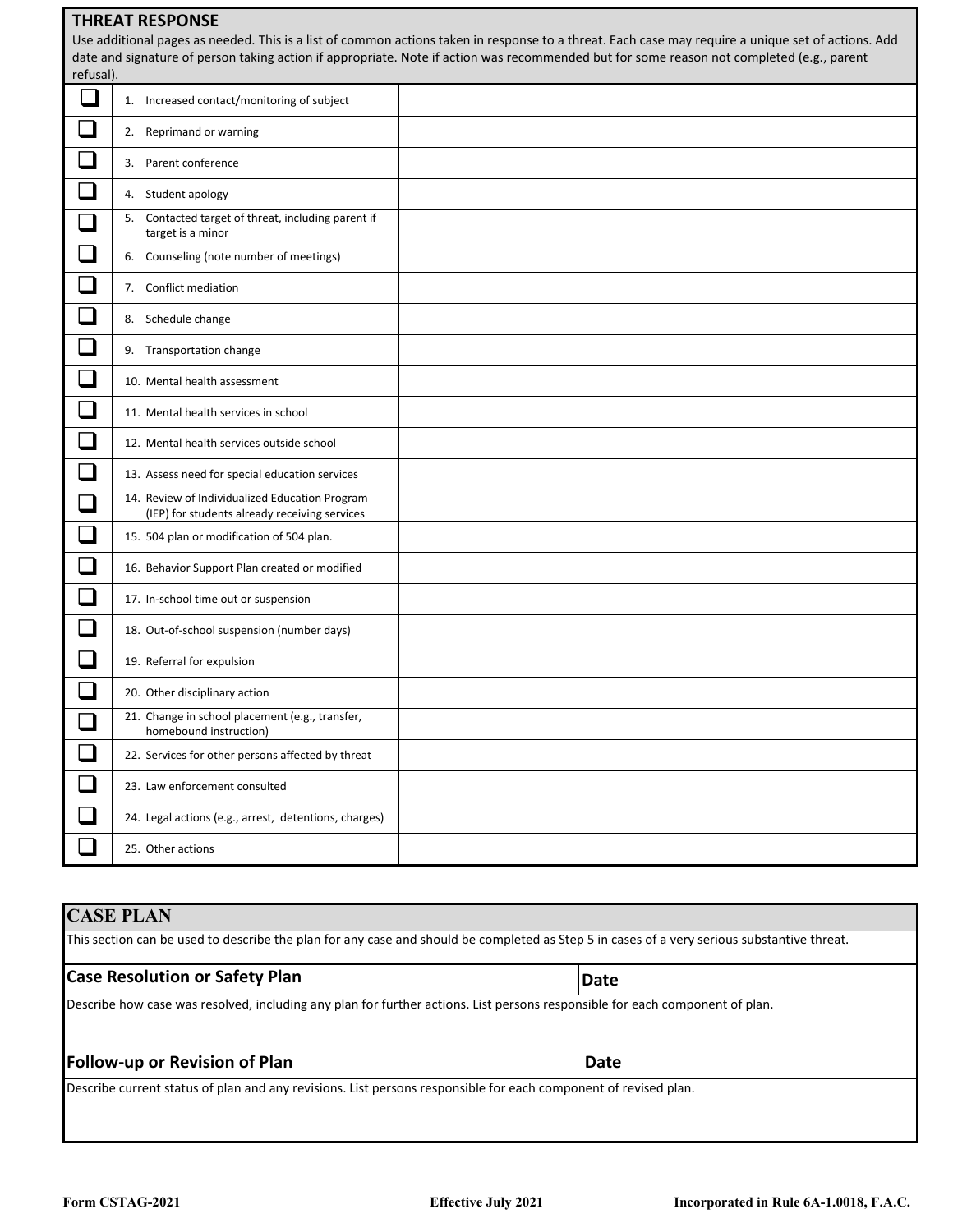|                                                                                                                                                                                                                                                                                                 | <b>THREAT RESPONSE</b>                                                                          |  |  |  |
|-------------------------------------------------------------------------------------------------------------------------------------------------------------------------------------------------------------------------------------------------------------------------------------------------|-------------------------------------------------------------------------------------------------|--|--|--|
| Use additional pages as needed. This is a list of common actions taken in response to a threat. Each case may require a unique set of actions. Add<br>date and signature of person taking action if appropriate. Note if action was recommended but for some reason not completed (e.g., parent |                                                                                                 |  |  |  |
| refusal).                                                                                                                                                                                                                                                                                       |                                                                                                 |  |  |  |
|                                                                                                                                                                                                                                                                                                 | 1. Increased contact/monitoring of subject                                                      |  |  |  |
|                                                                                                                                                                                                                                                                                                 | 2. Reprimand or warning                                                                         |  |  |  |
|                                                                                                                                                                                                                                                                                                 | 3. Parent conference                                                                            |  |  |  |
|                                                                                                                                                                                                                                                                                                 | 4. Student apology                                                                              |  |  |  |
|                                                                                                                                                                                                                                                                                                 | 5. Contacted target of threat, including parent if<br>target is a minor                         |  |  |  |
|                                                                                                                                                                                                                                                                                                 | 6. Counseling (note number of meetings)                                                         |  |  |  |
|                                                                                                                                                                                                                                                                                                 | 7. Conflict mediation                                                                           |  |  |  |
|                                                                                                                                                                                                                                                                                                 | 8. Schedule change                                                                              |  |  |  |
|                                                                                                                                                                                                                                                                                                 | 9. Transportation change                                                                        |  |  |  |
|                                                                                                                                                                                                                                                                                                 | 10. Mental health assessment                                                                    |  |  |  |
|                                                                                                                                                                                                                                                                                                 | 11. Mental health services in school                                                            |  |  |  |
|                                                                                                                                                                                                                                                                                                 | 12. Mental health services outside school                                                       |  |  |  |
|                                                                                                                                                                                                                                                                                                 | 13. Assess need for special education services                                                  |  |  |  |
|                                                                                                                                                                                                                                                                                                 | 14. Review of Individualized Education Program<br>(IEP) for students already receiving services |  |  |  |
|                                                                                                                                                                                                                                                                                                 | 15. 504 plan or modification of 504 plan.                                                       |  |  |  |
|                                                                                                                                                                                                                                                                                                 | 16. Behavior Support Plan created or modified                                                   |  |  |  |
|                                                                                                                                                                                                                                                                                                 | 17. In-school time out or suspension                                                            |  |  |  |
|                                                                                                                                                                                                                                                                                                 | 18. Out-of-school suspension (number days)                                                      |  |  |  |
|                                                                                                                                                                                                                                                                                                 | 19. Referral for expulsion                                                                      |  |  |  |
|                                                                                                                                                                                                                                                                                                 | 20. Other disciplinary action                                                                   |  |  |  |
|                                                                                                                                                                                                                                                                                                 | 21. Change in school placement (e.g., transfer,<br>homebound instruction)                       |  |  |  |
|                                                                                                                                                                                                                                                                                                 | 22. Services for other persons affected by threat                                               |  |  |  |
|                                                                                                                                                                                                                                                                                                 | 23. Law enforcement consulted                                                                   |  |  |  |
|                                                                                                                                                                                                                                                                                                 | 24. Legal actions (e.g., arrest, detentions, charges)                                           |  |  |  |
|                                                                                                                                                                                                                                                                                                 | 25. Other actions                                                                               |  |  |  |

| <b>CASE PLAN</b>                                                                                                                            |      |  |  |
|---------------------------------------------------------------------------------------------------------------------------------------------|------|--|--|
| This section can be used to describe the plan for any case and should be completed as Step 5 in cases of a very serious substantive threat. |      |  |  |
| <b>Case Resolution or Safety Plan</b>                                                                                                       | Date |  |  |
| Describe how case was resolved, including any plan for further actions. List persons responsible for each component of plan.                |      |  |  |
| <b>Follow-up or Revision of Plan</b>                                                                                                        | Date |  |  |
| Describe current status of plan and any revisions. List persons responsible for each component of revised plan.                             |      |  |  |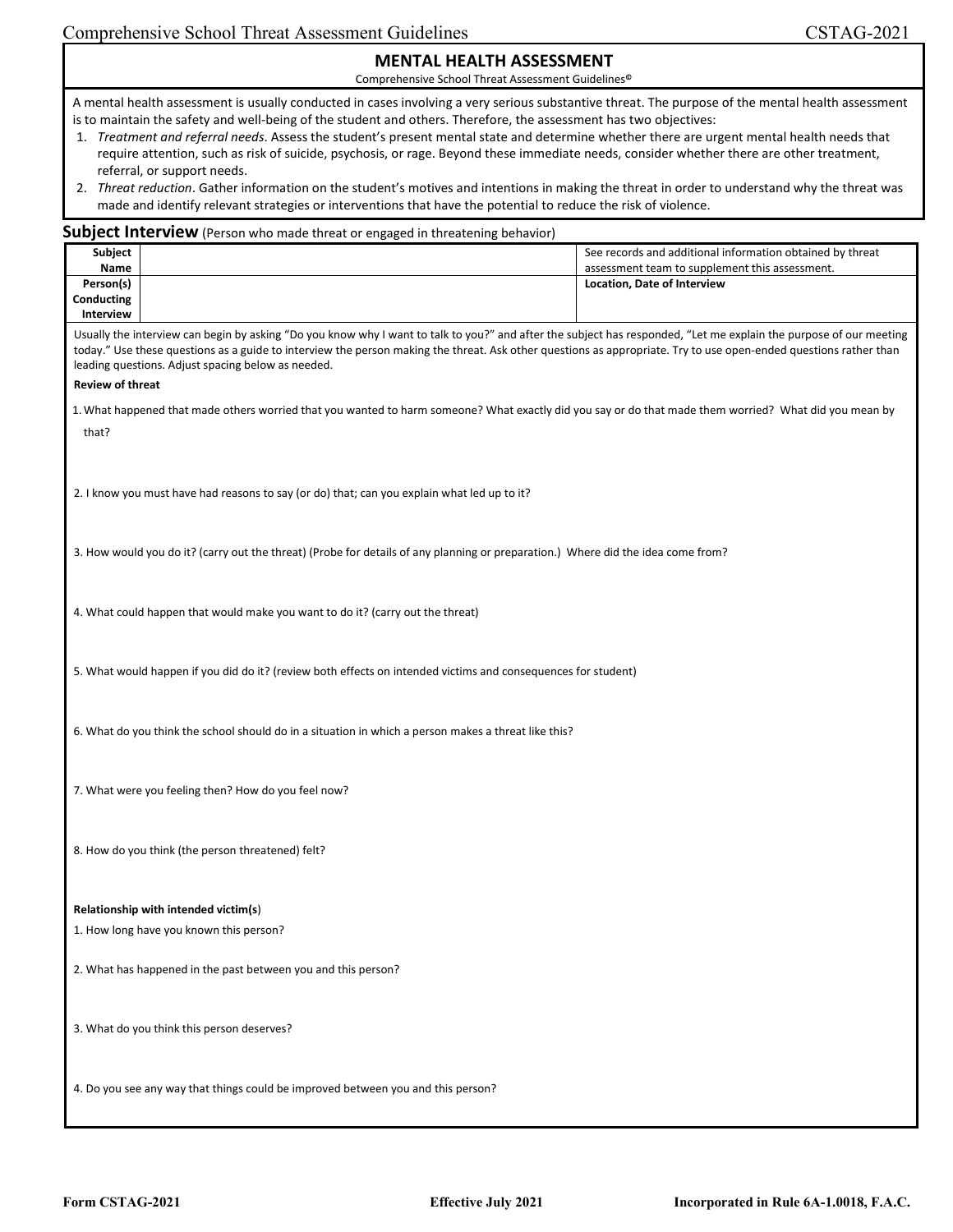# **MENTAL HEALTH ASSESSMENT**

Comprehensive School Threat Assessment Guidelines**©**

A mental health assessment is usually conducted in cases involving a very serious substantive threat. The purpose of the mental health assessment is to maintain the safety and well-being of the student and others. Therefore, the assessment has two objectives:

- 1. *Treatment and referral needs*. Assess the student's present mental state and determine whether there are urgent mental health needs that require attention, such as risk of suicide, psychosis, or rage. Beyond these immediate needs, consider whether there are other treatment, referral, or support needs.
- 2. *Threat reduction*. Gather information on the student's motives and intentions in making the threat in order to understand why the threat was made and identify relevant strategies or interventions that have the potential to reduce the risk of violence.

# **Subject Interview** (Person who made threat or engaged in threatening behavior)

|                                            | The first wild made ameat or engaged in ameatering                                                                                                                                                                                                                                                                                                                                            |                                                                                                             |  |  |  |
|--------------------------------------------|-----------------------------------------------------------------------------------------------------------------------------------------------------------------------------------------------------------------------------------------------------------------------------------------------------------------------------------------------------------------------------------------------|-------------------------------------------------------------------------------------------------------------|--|--|--|
| Subject                                    |                                                                                                                                                                                                                                                                                                                                                                                               | See records and additional information obtained by threat<br>assessment team to supplement this assessment. |  |  |  |
| Name<br>Person(s)                          |                                                                                                                                                                                                                                                                                                                                                                                               | Location, Date of Interview                                                                                 |  |  |  |
| Conducting                                 |                                                                                                                                                                                                                                                                                                                                                                                               |                                                                                                             |  |  |  |
| Interview                                  |                                                                                                                                                                                                                                                                                                                                                                                               |                                                                                                             |  |  |  |
|                                            | Usually the interview can begin by asking "Do you know why I want to talk to you?" and after the subject has responded, "Let me explain the purpose of our meeting<br>today." Use these questions as a guide to interview the person making the threat. Ask other questions as appropriate. Try to use open-ended questions rather than<br>leading questions. Adjust spacing below as needed. |                                                                                                             |  |  |  |
| <b>Review of threat</b>                    |                                                                                                                                                                                                                                                                                                                                                                                               |                                                                                                             |  |  |  |
|                                            | 1. What happened that made others worried that you wanted to harm someone? What exactly did you say or do that made them worried? What did you mean by                                                                                                                                                                                                                                        |                                                                                                             |  |  |  |
| that?                                      |                                                                                                                                                                                                                                                                                                                                                                                               |                                                                                                             |  |  |  |
|                                            |                                                                                                                                                                                                                                                                                                                                                                                               |                                                                                                             |  |  |  |
|                                            |                                                                                                                                                                                                                                                                                                                                                                                               |                                                                                                             |  |  |  |
|                                            |                                                                                                                                                                                                                                                                                                                                                                                               |                                                                                                             |  |  |  |
|                                            | 2. I know you must have had reasons to say (or do) that; can you explain what led up to it?                                                                                                                                                                                                                                                                                                   |                                                                                                             |  |  |  |
|                                            |                                                                                                                                                                                                                                                                                                                                                                                               |                                                                                                             |  |  |  |
|                                            |                                                                                                                                                                                                                                                                                                                                                                                               |                                                                                                             |  |  |  |
|                                            | 3. How would you do it? (carry out the threat) (Probe for details of any planning or preparation.) Where did the idea come from?                                                                                                                                                                                                                                                              |                                                                                                             |  |  |  |
|                                            |                                                                                                                                                                                                                                                                                                                                                                                               |                                                                                                             |  |  |  |
|                                            |                                                                                                                                                                                                                                                                                                                                                                                               |                                                                                                             |  |  |  |
|                                            | 4. What could happen that would make you want to do it? (carry out the threat)                                                                                                                                                                                                                                                                                                                |                                                                                                             |  |  |  |
|                                            |                                                                                                                                                                                                                                                                                                                                                                                               |                                                                                                             |  |  |  |
|                                            |                                                                                                                                                                                                                                                                                                                                                                                               |                                                                                                             |  |  |  |
|                                            | 5. What would happen if you did do it? (review both effects on intended victims and consequences for student)                                                                                                                                                                                                                                                                                 |                                                                                                             |  |  |  |
|                                            |                                                                                                                                                                                                                                                                                                                                                                                               |                                                                                                             |  |  |  |
|                                            |                                                                                                                                                                                                                                                                                                                                                                                               |                                                                                                             |  |  |  |
|                                            |                                                                                                                                                                                                                                                                                                                                                                                               |                                                                                                             |  |  |  |
|                                            | 6. What do you think the school should do in a situation in which a person makes a threat like this?                                                                                                                                                                                                                                                                                          |                                                                                                             |  |  |  |
|                                            |                                                                                                                                                                                                                                                                                                                                                                                               |                                                                                                             |  |  |  |
|                                            |                                                                                                                                                                                                                                                                                                                                                                                               |                                                                                                             |  |  |  |
|                                            | 7. What were you feeling then? How do you feel now?                                                                                                                                                                                                                                                                                                                                           |                                                                                                             |  |  |  |
|                                            |                                                                                                                                                                                                                                                                                                                                                                                               |                                                                                                             |  |  |  |
|                                            |                                                                                                                                                                                                                                                                                                                                                                                               |                                                                                                             |  |  |  |
|                                            | 8. How do you think (the person threatened) felt?                                                                                                                                                                                                                                                                                                                                             |                                                                                                             |  |  |  |
|                                            |                                                                                                                                                                                                                                                                                                                                                                                               |                                                                                                             |  |  |  |
|                                            |                                                                                                                                                                                                                                                                                                                                                                                               |                                                                                                             |  |  |  |
|                                            | Relationship with intended victim(s)                                                                                                                                                                                                                                                                                                                                                          |                                                                                                             |  |  |  |
|                                            |                                                                                                                                                                                                                                                                                                                                                                                               |                                                                                                             |  |  |  |
|                                            | 1. How long have you known this person?                                                                                                                                                                                                                                                                                                                                                       |                                                                                                             |  |  |  |
|                                            |                                                                                                                                                                                                                                                                                                                                                                                               |                                                                                                             |  |  |  |
|                                            | 2. What has happened in the past between you and this person?                                                                                                                                                                                                                                                                                                                                 |                                                                                                             |  |  |  |
|                                            |                                                                                                                                                                                                                                                                                                                                                                                               |                                                                                                             |  |  |  |
|                                            |                                                                                                                                                                                                                                                                                                                                                                                               |                                                                                                             |  |  |  |
| 3. What do you think this person deserves? |                                                                                                                                                                                                                                                                                                                                                                                               |                                                                                                             |  |  |  |
|                                            |                                                                                                                                                                                                                                                                                                                                                                                               |                                                                                                             |  |  |  |
|                                            |                                                                                                                                                                                                                                                                                                                                                                                               |                                                                                                             |  |  |  |
|                                            | 4. Do you see any way that things could be improved between you and this person?                                                                                                                                                                                                                                                                                                              |                                                                                                             |  |  |  |
|                                            |                                                                                                                                                                                                                                                                                                                                                                                               |                                                                                                             |  |  |  |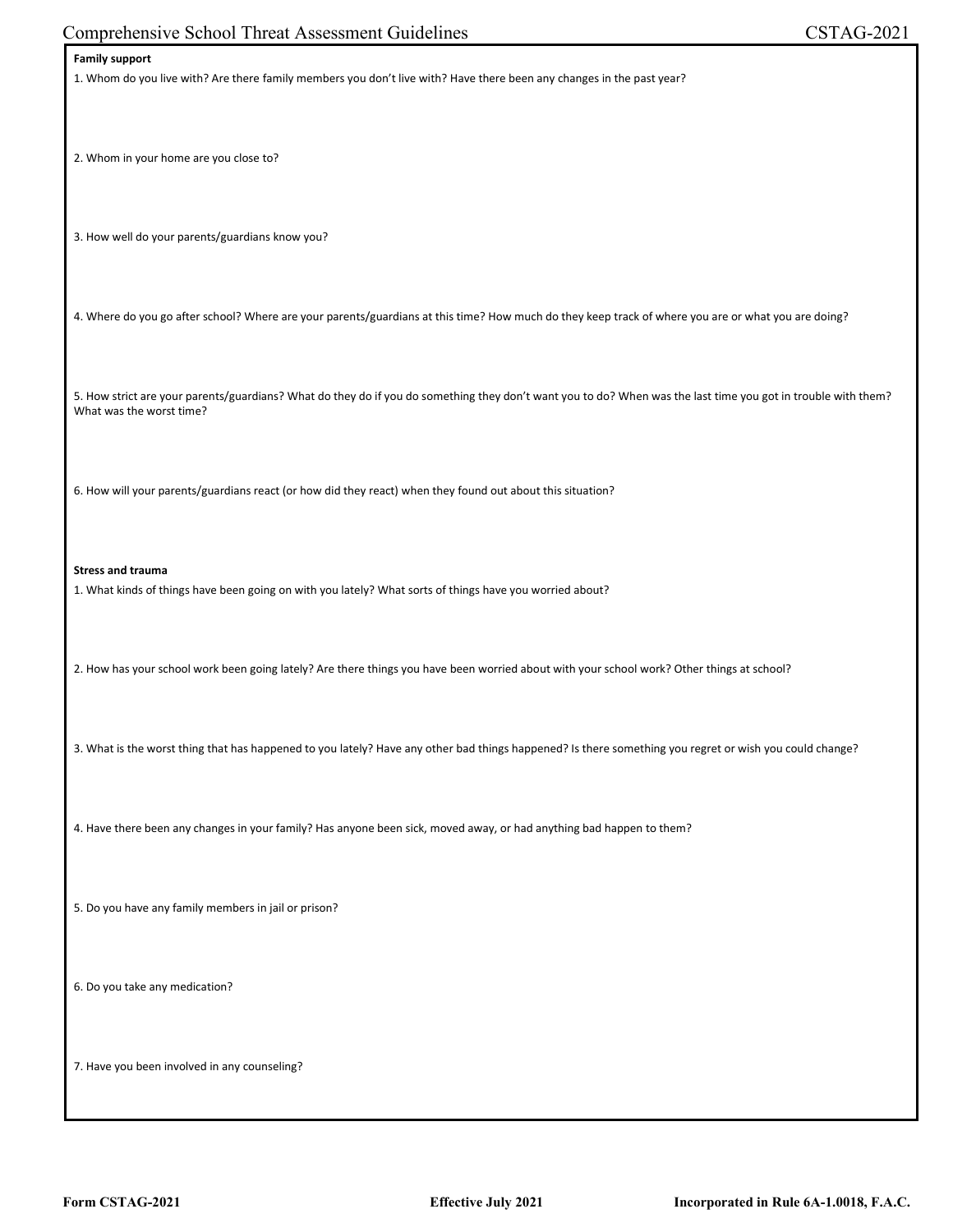| Comprehensive School Threat Assessment Guidelines                                                                                                             | <b>CSTAG-2021</b> |
|---------------------------------------------------------------------------------------------------------------------------------------------------------------|-------------------|
| <b>Family support</b>                                                                                                                                         |                   |
| 1. Whom do you live with? Are there family members you don't live with? Have there been any changes in the past year?                                         |                   |
|                                                                                                                                                               |                   |
|                                                                                                                                                               |                   |
| 2. Whom in your home are you close to?                                                                                                                        |                   |
|                                                                                                                                                               |                   |
|                                                                                                                                                               |                   |
| 3. How well do your parents/guardians know you?                                                                                                               |                   |
|                                                                                                                                                               |                   |
|                                                                                                                                                               |                   |
| 4. Where do you go after school? Where are your parents/guardians at this time? How much do they keep track of where you are or what you are doing?           |                   |
|                                                                                                                                                               |                   |
| 5. How strict are your parents/guardians? What do they do if you do something they don't want you to do? When was the last time you got in trouble with them? |                   |
| What was the worst time?                                                                                                                                      |                   |
|                                                                                                                                                               |                   |
|                                                                                                                                                               |                   |
| 6. How will your parents/guardians react (or how did they react) when they found out about this situation?                                                    |                   |
|                                                                                                                                                               |                   |
|                                                                                                                                                               |                   |
| <b>Stress and trauma</b><br>1. What kinds of things have been going on with you lately? What sorts of things have you worried about?                          |                   |
|                                                                                                                                                               |                   |
|                                                                                                                                                               |                   |
| 2. How has your school work been going lately? Are there things you have been worried about with your school work? Other things at school?                    |                   |
|                                                                                                                                                               |                   |
|                                                                                                                                                               |                   |
| 3. What is the worst thing that has happened to you lately? Have any other bad things happened? Is there something you regret or wish you could change?       |                   |
|                                                                                                                                                               |                   |
|                                                                                                                                                               |                   |
| 4. Have there been any changes in your family? Has anyone been sick, moved away, or had anything bad happen to them?                                          |                   |
|                                                                                                                                                               |                   |
|                                                                                                                                                               |                   |
| 5. Do you have any family members in jail or prison?                                                                                                          |                   |
|                                                                                                                                                               |                   |
|                                                                                                                                                               |                   |
| 6. Do you take any medication?                                                                                                                                |                   |
|                                                                                                                                                               |                   |
|                                                                                                                                                               |                   |
| 7. Have you been involved in any counseling?                                                                                                                  |                   |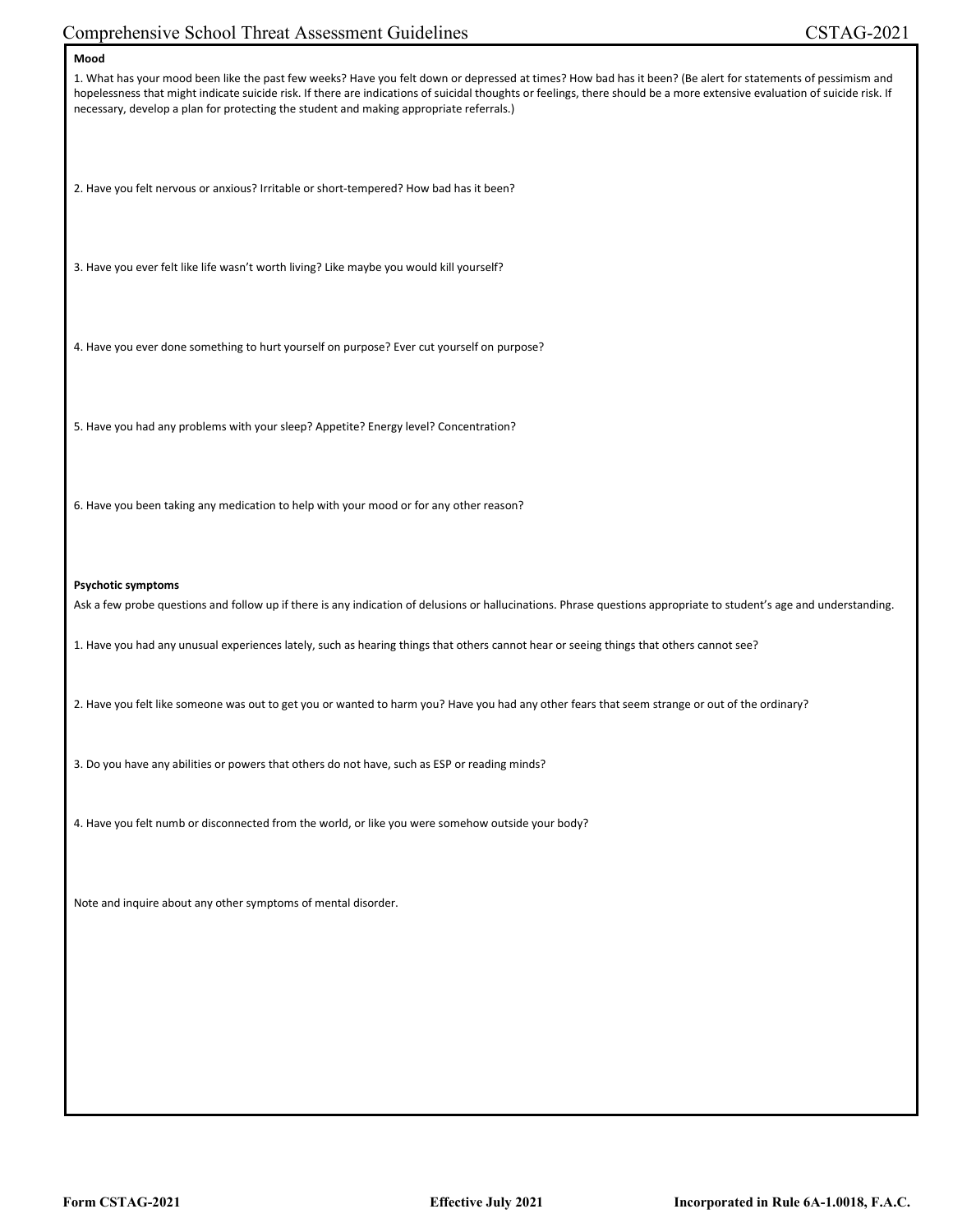#### **Mood**

1. What has your mood been like the past few weeks? Have you felt down or depressed at times? How bad has it been? (Be alert for statements of pessimism and hopelessness that might indicate suicide risk. If there are indications of suicidal thoughts or feelings, there should be a more extensive evaluation of suicide risk. If necessary, develop a plan for protecting the student and making appropriate referrals.)

2. Have you felt nervous or anxious? Irritable or short-tempered? How bad has it been?

3. Have you ever felt like life wasn't worth living? Like maybe you would kill yourself?

4. Have you ever done something to hurt yourself on purpose? Ever cut yourself on purpose?

5. Have you had any problems with your sleep? Appetite? Energy level? Concentration?

6. Have you been taking any medication to help with your mood or for any other reason?

#### **Psychotic symptoms**

Ask a few probe questions and follow up if there is any indication of delusions or hallucinations. Phrase questions appropriate to student's age and understanding.

1. Have you had any unusual experiences lately, such as hearing things that others cannot hear or seeing things that others cannot see?

2. Have you felt like someone was out to get you or wanted to harm you? Have you had any other fears that seem strange or out of the ordinary?

3. Do you have any abilities or powers that others do not have, such as ESP or reading minds?

4. Have you felt numb or disconnected from the world, or like you were somehow outside your body?

Note and inquire about any other symptoms of mental disorder.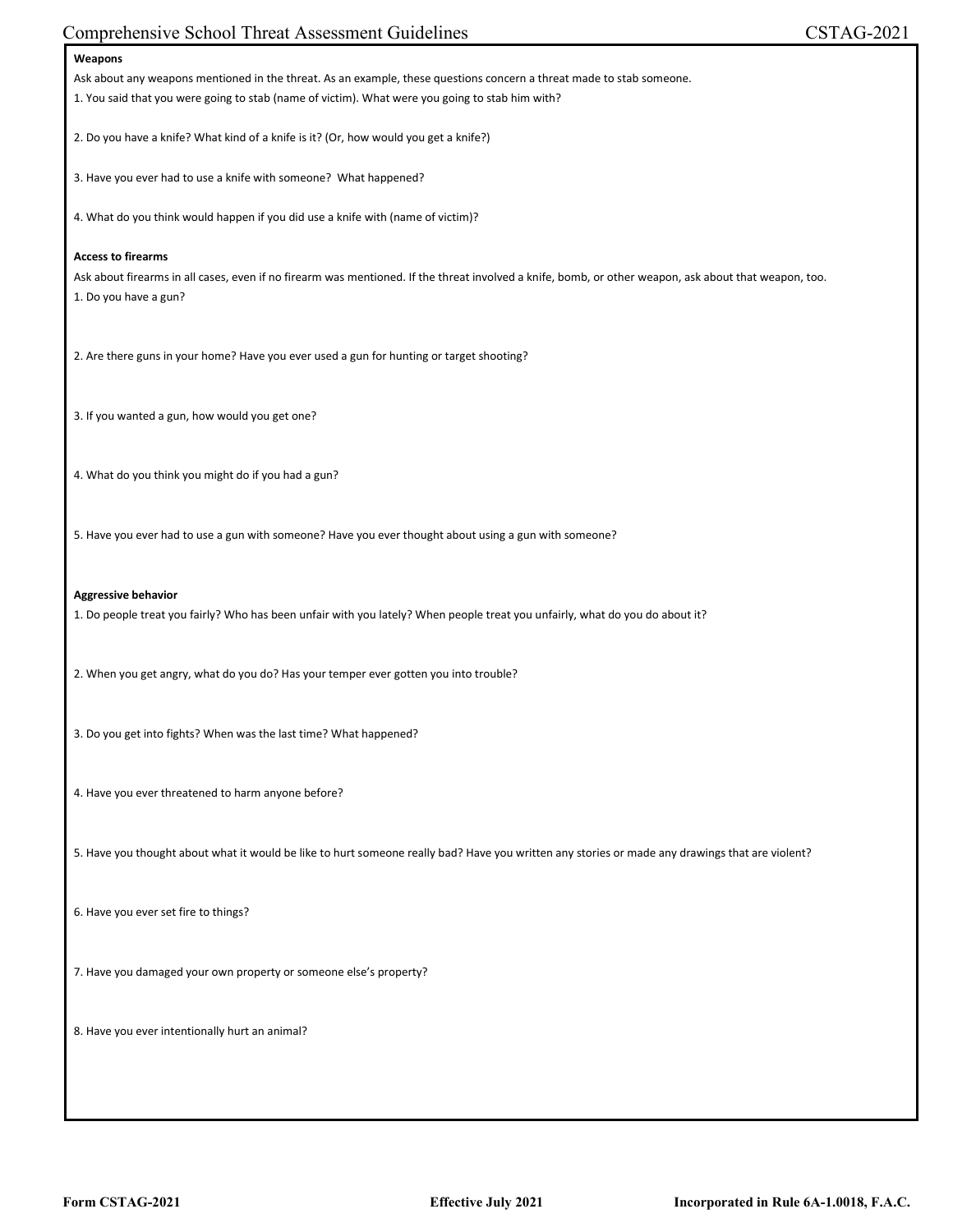| <b>Comprehensive School Threat Assessment Guidelines</b>                                                                                              | <b>CSTAG-2021</b> |
|-------------------------------------------------------------------------------------------------------------------------------------------------------|-------------------|
| Weapons                                                                                                                                               |                   |
| Ask about any weapons mentioned in the threat. As an example, these questions concern a threat made to stab someone.                                  |                   |
| 1. You said that you were going to stab (name of victim). What were you going to stab him with?                                                       |                   |
|                                                                                                                                                       |                   |
| 2. Do you have a knife? What kind of a knife is it? (Or, how would you get a knife?)                                                                  |                   |
|                                                                                                                                                       |                   |
| 3. Have you ever had to use a knife with someone? What happened?                                                                                      |                   |
|                                                                                                                                                       |                   |
| 4. What do you think would happen if you did use a knife with (name of victim)?                                                                       |                   |
|                                                                                                                                                       |                   |
| <b>Access to firearms</b>                                                                                                                             |                   |
| Ask about firearms in all cases, even if no firearm was mentioned. If the threat involved a knife, bomb, or other weapon, ask about that weapon, too. |                   |
| 1. Do you have a gun?                                                                                                                                 |                   |
|                                                                                                                                                       |                   |
|                                                                                                                                                       |                   |
| 2. Are there guns in your home? Have you ever used a gun for hunting or target shooting?                                                              |                   |
|                                                                                                                                                       |                   |
|                                                                                                                                                       |                   |
|                                                                                                                                                       |                   |
| 3. If you wanted a gun, how would you get one?                                                                                                        |                   |
|                                                                                                                                                       |                   |
|                                                                                                                                                       |                   |
| 4. What do you think you might do if you had a gun?                                                                                                   |                   |
|                                                                                                                                                       |                   |
|                                                                                                                                                       |                   |
| 5. Have you ever had to use a gun with someone? Have you ever thought about using a gun with someone?                                                 |                   |
|                                                                                                                                                       |                   |
|                                                                                                                                                       |                   |
| <b>Aggressive behavior</b>                                                                                                                            |                   |
| 1. Do people treat you fairly? Who has been unfair with you lately? When people treat you unfairly, what do you do about it?                          |                   |
|                                                                                                                                                       |                   |
|                                                                                                                                                       |                   |
| 2. When you get angry, what do you do? Has your temper ever gotten you into trouble?                                                                  |                   |
|                                                                                                                                                       |                   |
|                                                                                                                                                       |                   |
| 3. Do you get into fights? When was the last time? What happened?                                                                                     |                   |
|                                                                                                                                                       |                   |
|                                                                                                                                                       |                   |
| 4. Have you ever threatened to harm anyone before?                                                                                                    |                   |
|                                                                                                                                                       |                   |
|                                                                                                                                                       |                   |
| 5. Have you thought about what it would be like to hurt someone really bad? Have you written any stories or made any drawings that are violent?       |                   |
|                                                                                                                                                       |                   |
|                                                                                                                                                       |                   |
| 6. Have you ever set fire to things?                                                                                                                  |                   |
|                                                                                                                                                       |                   |
|                                                                                                                                                       |                   |
| 7. Have you damaged your own property or someone else's property?                                                                                     |                   |
|                                                                                                                                                       |                   |
|                                                                                                                                                       |                   |
| 8. Have you ever intentionally hurt an animal?                                                                                                        |                   |
|                                                                                                                                                       |                   |
|                                                                                                                                                       |                   |
|                                                                                                                                                       |                   |
|                                                                                                                                                       |                   |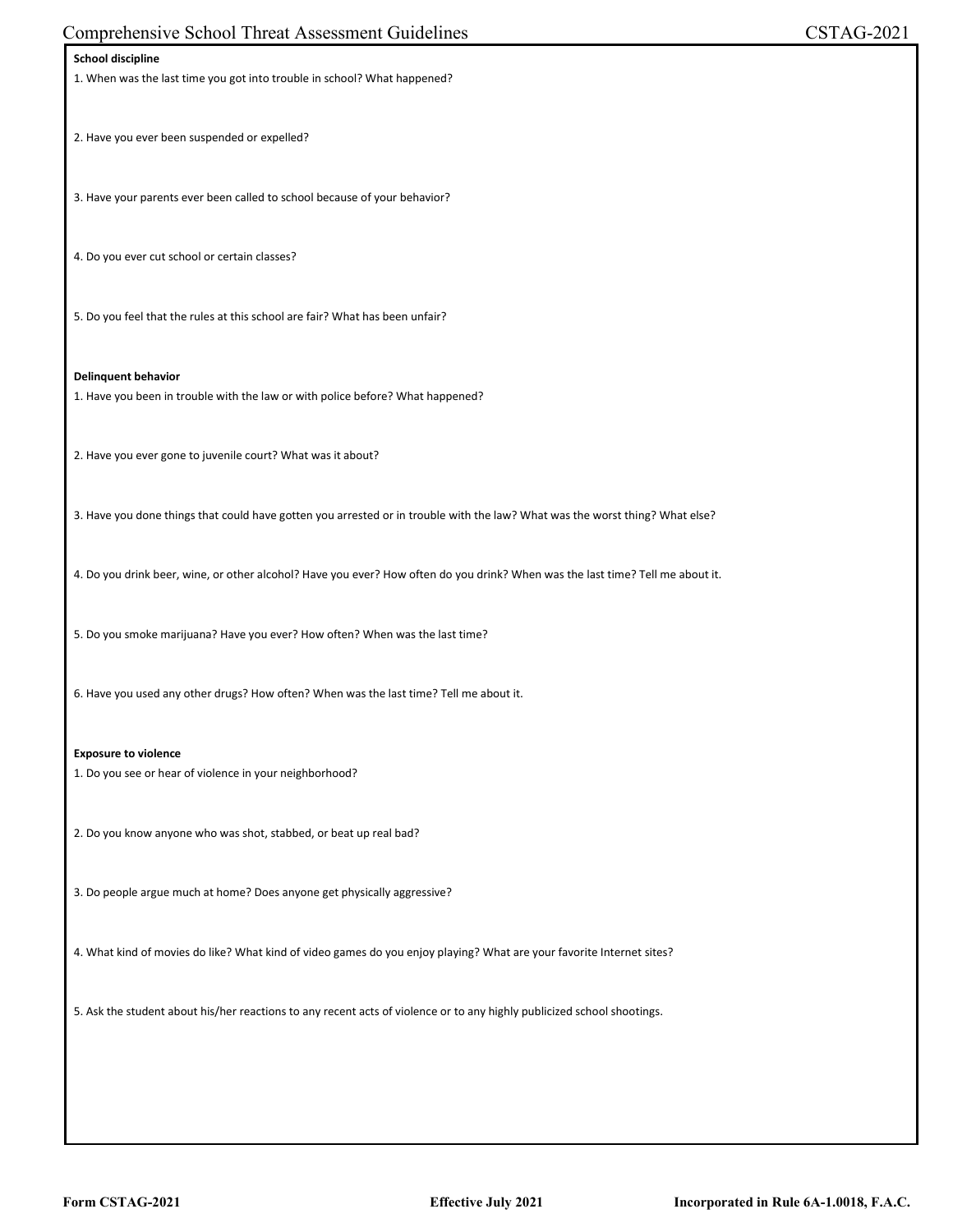### **School discipline**

1. When was the last time you got into trouble in school? What happened?

2. Have you ever been suspended or expelled?

3. Have your parents ever been called to school because of your behavior?

4. Do you ever cut school or certain classes?

5. Do you feel that the rules at this school are fair? What has been unfair?

#### **Delinquent behavior**

1. Have you been in trouble with the law or with police before? What happened?

2. Have you ever gone to juvenile court? What was it about?

3. Have you done things that could have gotten you arrested or in trouble with the law? What was the worst thing? What else?

4. Do you drink beer, wine, or other alcohol? Have you ever? How often do you drink? When was the last time? Tell me about it.

5. Do you smoke marijuana? Have you ever? How often? When was the last time?

6. Have you used any other drugs? How often? When was the last time? Tell me about it.

#### **Exposure to violence**

1. Do you see or hear of violence in your neighborhood?

2. Do you know anyone who was shot, stabbed, or beat up real bad?

3. Do people argue much at home? Does anyone get physically aggressive?

4. What kind of movies do like? What kind of video games do you enjoy playing? What are your favorite Internet sites?

5. Ask the student about his/her reactions to any recent acts of violence or to any highly publicized school shootings.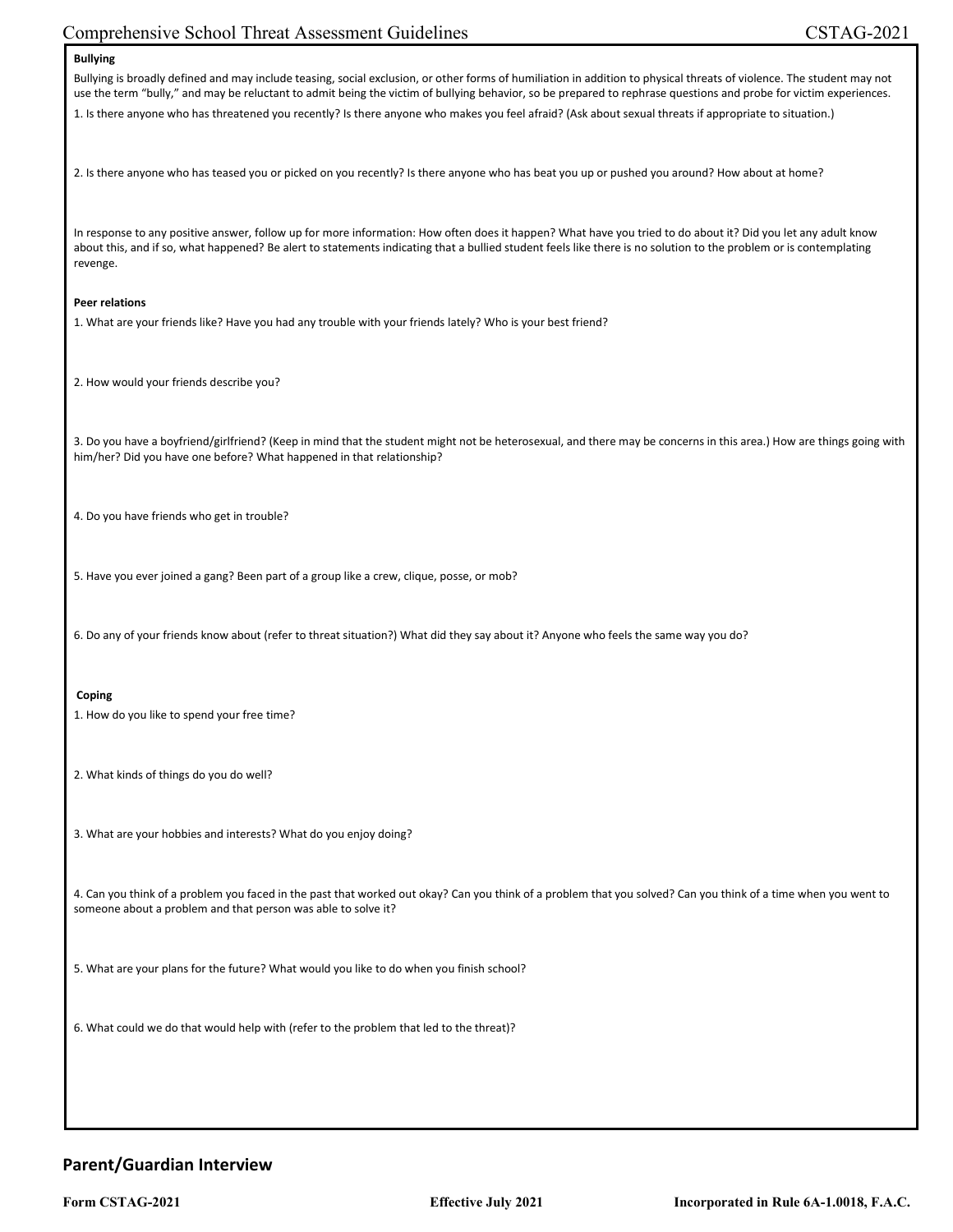| <b>Comprehensive School Threat Assessment Guidelines</b> | CSTAG-2021 |
|----------------------------------------------------------|------------|
|----------------------------------------------------------|------------|

# **Bullying**

Bullying is broadly defined and may include teasing, social exclusion, or other forms of humiliation in addition to physical threats of violence. The student may not use the term "bully," and may be reluctant to admit being the victim of bullying behavior, so be prepared to rephrase questions and probe for victim experiences. 1. Is there anyone who has threatened you recently? Is there anyone who makes you feel afraid? (Ask about sexual threats if appropriate to situation.)

2. Is there anyone who has teased you or picked on you recently? Is there anyone who has beat you up or pushed you around? How about at home?

In response to any positive answer, follow up for more information: How often does it happen? What have you tried to do about it? Did you let any adult know about this, and if so, what happened? Be alert to statements indicating that a bullied student feels like there is no solution to the problem or is contemplating revenge.

#### **Peer relations**

1. What are your friends like? Have you had any trouble with your friends lately? Who is your best friend?

2. How would your friends describe you?

3. Do you have a boyfriend/girlfriend? (Keep in mind that the student might not be heterosexual, and there may be concerns in this area.) How are things going with him/her? Did you have one before? What happened in that relationship?

4. Do you have friends who get in trouble?

5. Have you ever joined a gang? Been part of a group like a crew, clique, posse, or mob?

6. Do any of your friends know about (refer to threat situation?) What did they say about it? Anyone who feels the same way you do?

#### **Coping**

1. How do you like to spend your free time?

2. What kinds of things do you do well?

3. What are your hobbies and interests? What do you enjoy doing?

4. Can you think of a problem you faced in the past that worked out okay? Can you think of a problem that you solved? Can you think of a time when you went to someone about a problem and that person was able to solve it?

5. What are your plans for the future? What would you like to do when you finish school?

6. What could we do that would help with (refer to the problem that led to the threat)?

# **Parent/Guardian Interview**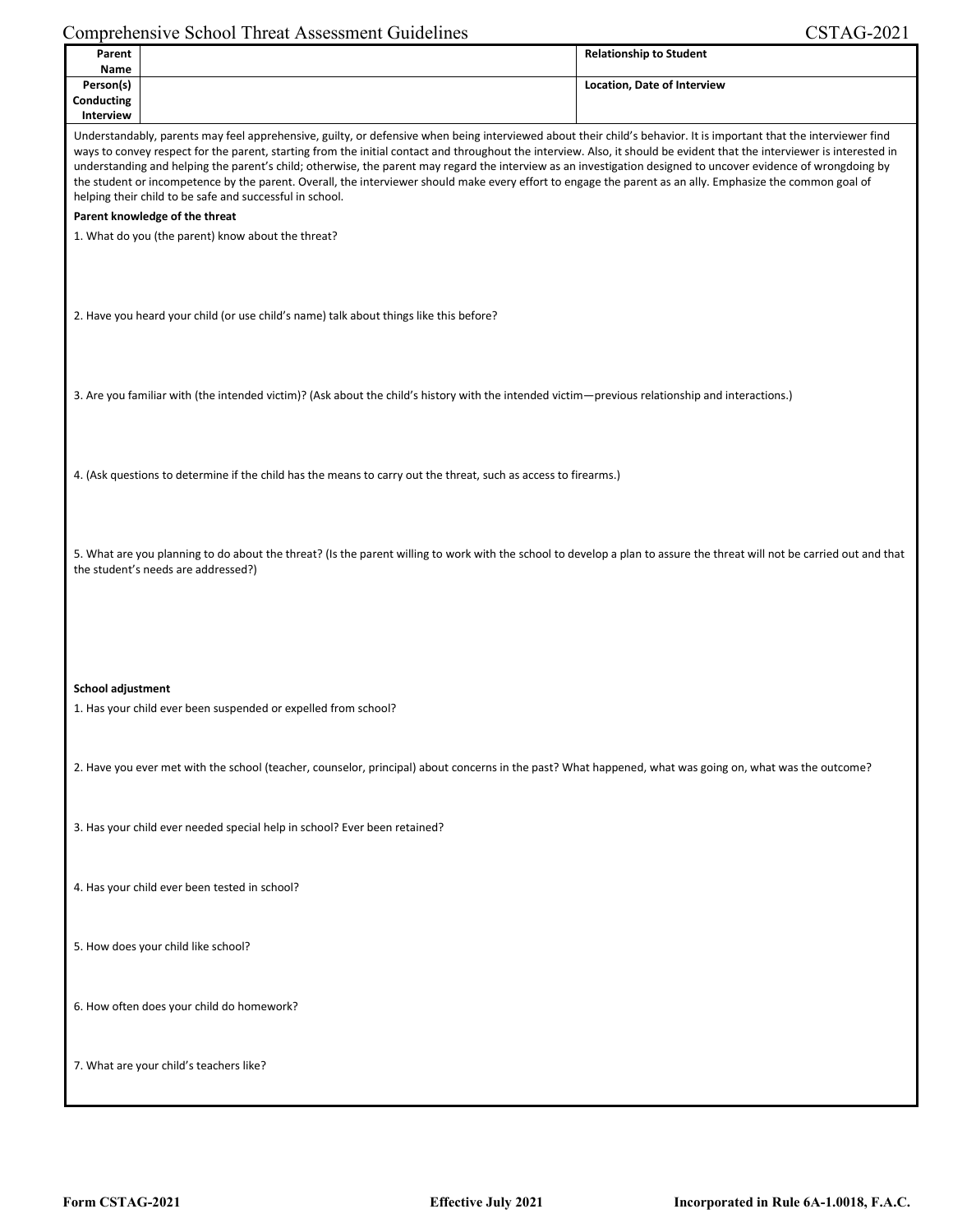| Parent                                                                                                                                                                                                                                                                                                                                                                                                                                                                                                                                                                                                                                                                                                                                                                                                                            |                                                                                                                                                                         | <b>Relationship to Student</b> |  |
|-----------------------------------------------------------------------------------------------------------------------------------------------------------------------------------------------------------------------------------------------------------------------------------------------------------------------------------------------------------------------------------------------------------------------------------------------------------------------------------------------------------------------------------------------------------------------------------------------------------------------------------------------------------------------------------------------------------------------------------------------------------------------------------------------------------------------------------|-------------------------------------------------------------------------------------------------------------------------------------------------------------------------|--------------------------------|--|
| Name<br>Person(s)                                                                                                                                                                                                                                                                                                                                                                                                                                                                                                                                                                                                                                                                                                                                                                                                                 |                                                                                                                                                                         | Location, Date of Interview    |  |
| Conducting<br>Interview                                                                                                                                                                                                                                                                                                                                                                                                                                                                                                                                                                                                                                                                                                                                                                                                           |                                                                                                                                                                         |                                |  |
| Understandably, parents may feel apprehensive, guilty, or defensive when being interviewed about their child's behavior. It is important that the interviewer find<br>ways to convey respect for the parent, starting from the initial contact and throughout the interview. Also, it should be evident that the interviewer is interested in<br>understanding and helping the parent's child; otherwise, the parent may regard the interview as an investigation designed to uncover evidence of wrongdoing by<br>the student or incompetence by the parent. Overall, the interviewer should make every effort to engage the parent as an ally. Emphasize the common goal of<br>helping their child to be safe and successful in school.<br>Parent knowledge of the threat<br>1. What do you (the parent) know about the threat? |                                                                                                                                                                         |                                |  |
|                                                                                                                                                                                                                                                                                                                                                                                                                                                                                                                                                                                                                                                                                                                                                                                                                                   | 2. Have you heard your child (or use child's name) talk about things like this before?                                                                                  |                                |  |
| 3. Are you familiar with (the intended victim)? (Ask about the child's history with the intended victim—previous relationship and interactions.)                                                                                                                                                                                                                                                                                                                                                                                                                                                                                                                                                                                                                                                                                  |                                                                                                                                                                         |                                |  |
|                                                                                                                                                                                                                                                                                                                                                                                                                                                                                                                                                                                                                                                                                                                                                                                                                                   | 4. (Ask questions to determine if the child has the means to carry out the threat, such as access to firearms.)                                                         |                                |  |
| the student's needs are addressed?)                                                                                                                                                                                                                                                                                                                                                                                                                                                                                                                                                                                                                                                                                                                                                                                               | 5. What are you planning to do about the threat? (Is the parent willing to work with the school to develop a plan to assure the threat will not be carried out and that |                                |  |
| School adjustment                                                                                                                                                                                                                                                                                                                                                                                                                                                                                                                                                                                                                                                                                                                                                                                                                 | 1. Has your child ever been suspended or expelled from school?                                                                                                          |                                |  |
|                                                                                                                                                                                                                                                                                                                                                                                                                                                                                                                                                                                                                                                                                                                                                                                                                                   | 2. Have you ever met with the school (teacher, counselor, principal) about concerns in the past? What happened, what was going on, what was the outcome?                |                                |  |
|                                                                                                                                                                                                                                                                                                                                                                                                                                                                                                                                                                                                                                                                                                                                                                                                                                   | 3. Has your child ever needed special help in school? Ever been retained?                                                                                               |                                |  |
| 4. Has your child ever been tested in school?                                                                                                                                                                                                                                                                                                                                                                                                                                                                                                                                                                                                                                                                                                                                                                                     |                                                                                                                                                                         |                                |  |
| 5. How does your child like school?                                                                                                                                                                                                                                                                                                                                                                                                                                                                                                                                                                                                                                                                                                                                                                                               |                                                                                                                                                                         |                                |  |
| 6. How often does your child do homework?                                                                                                                                                                                                                                                                                                                                                                                                                                                                                                                                                                                                                                                                                                                                                                                         |                                                                                                                                                                         |                                |  |
| 7. What are your child's teachers like?                                                                                                                                                                                                                                                                                                                                                                                                                                                                                                                                                                                                                                                                                                                                                                                           |                                                                                                                                                                         |                                |  |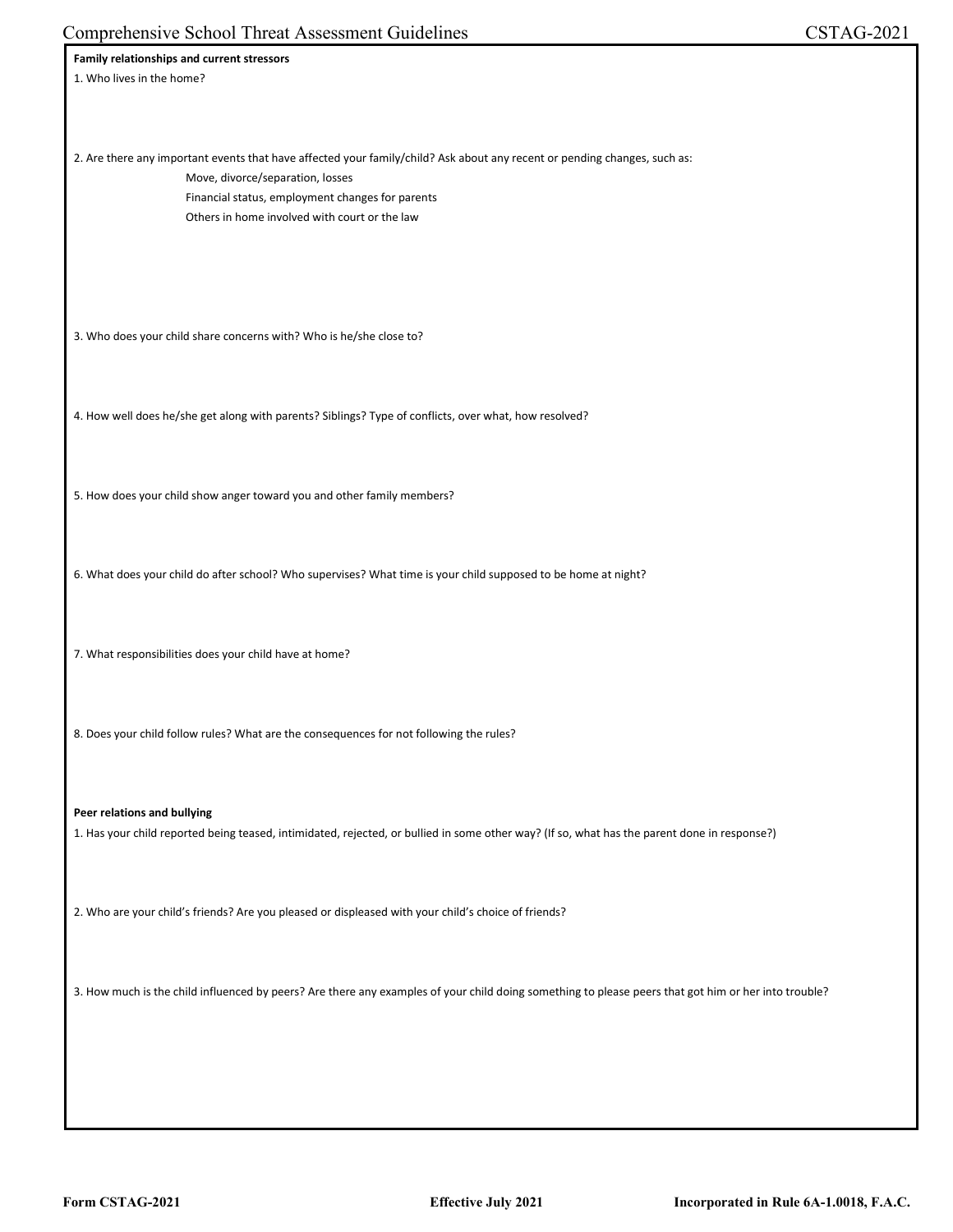# **Family relationships and current stressors** 1. Who lives in the home? 2. Are there any important events that have affected your family/child? Ask about any recent or pending changes, such as: Move, divorce/separation, losses Financial status, employment changes for parents Others in home involved with court or the law 3. Who does your child share concerns with? Who is he/she close to? 4. How well does he/she get along with parents? Siblings? Type of conflicts, over what, how resolved? 5. How does your child show anger toward you and other family members? 6. What does your child do after school? Who supervises? What time is your child supposed to be home at night? 7. What responsibilities does your child have at home? 8. Does your child follow rules? What are the consequences for not following the rules? **Peer relations and bullying** 1. Has your child reported being teased, intimidated, rejected, or bullied in some other way? (If so, what has the parent done in response?) 2. Who are your child's friends? Are you pleased or displeased with your child's choice of friends? 3. How much is the child influenced by peers? Are there any examples of your child doing something to please peers that got him or her into trouble?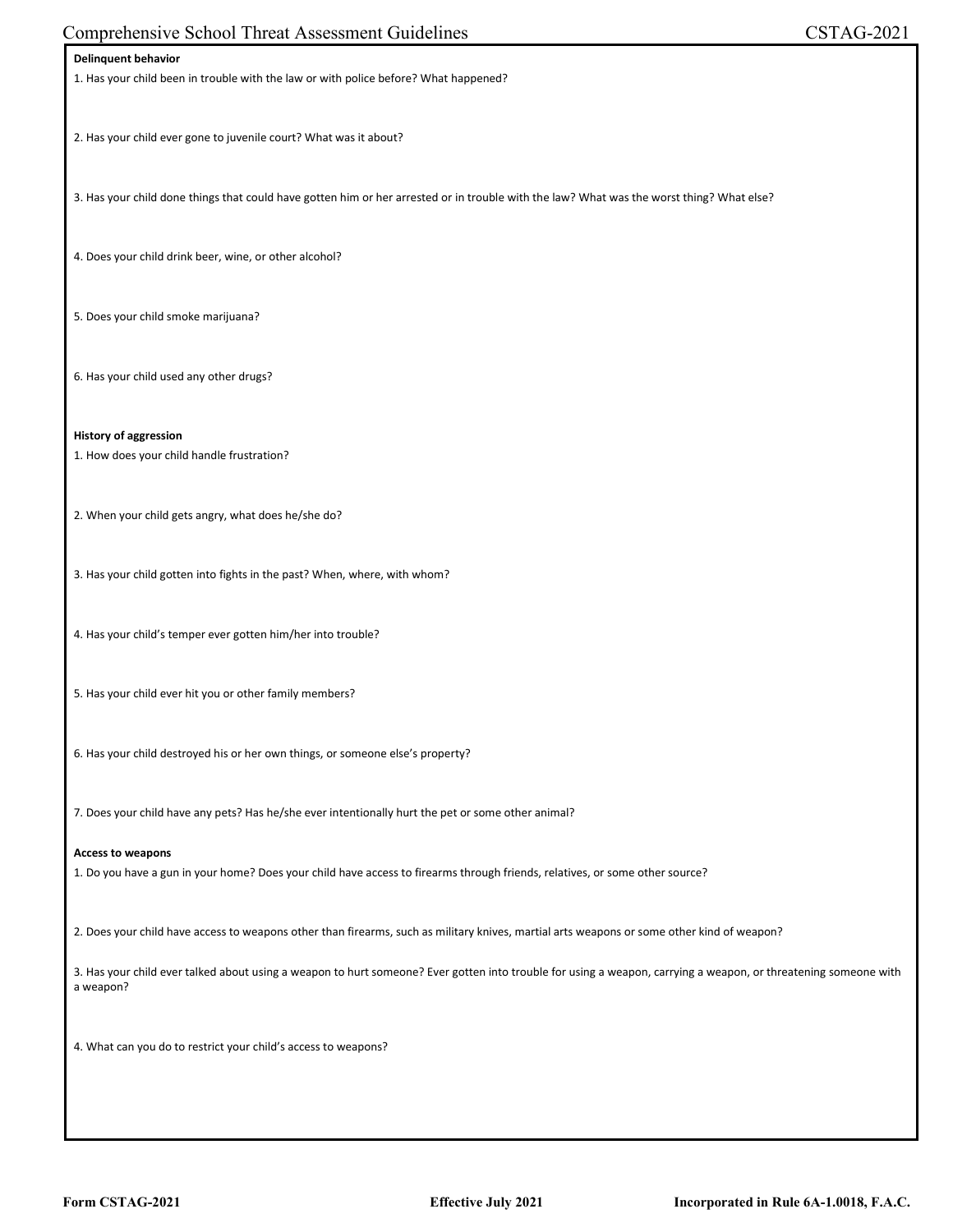# **Delinquent behavior** 1. Has your child been in trouble with the law or with police before? What happened? 2. Has your child ever gone to juvenile court? What was it about? 3. Has your child done things that could have gotten him or her arrested or in trouble with the law? What was the worst thing? What else? 4. Does your child drink beer, wine, or other alcohol? 5. Does your child smoke marijuana? 6. Has your child used any other drugs? **History of aggression** 1. How does your child handle frustration? 2. When your child gets angry, what does he/she do? 3. Has your child gotten into fights in the past? When, where, with whom? 4. Has your child's temper ever gotten him/her into trouble? 5. Has your child ever hit you or other family members? 6. Has your child destroyed his or her own things, or someone else's property? 7. Does your child have any pets? Has he/she ever intentionally hurt the pet or some other animal? **Access to weapons** 1. Do you have a gun in your home? Does your child have access to firearms through friends, relatives, or some other source? 2. Does your child have access to weapons other than firearms, such as military knives, martial arts weapons or some other kind of weapon? 3. Has your child ever talked about using a weapon to hurt someone? Ever gotten into trouble for using a weapon, carrying a weapon, or threatening someone with a weapon? 4. What can you do to restrict your child's access to weapons?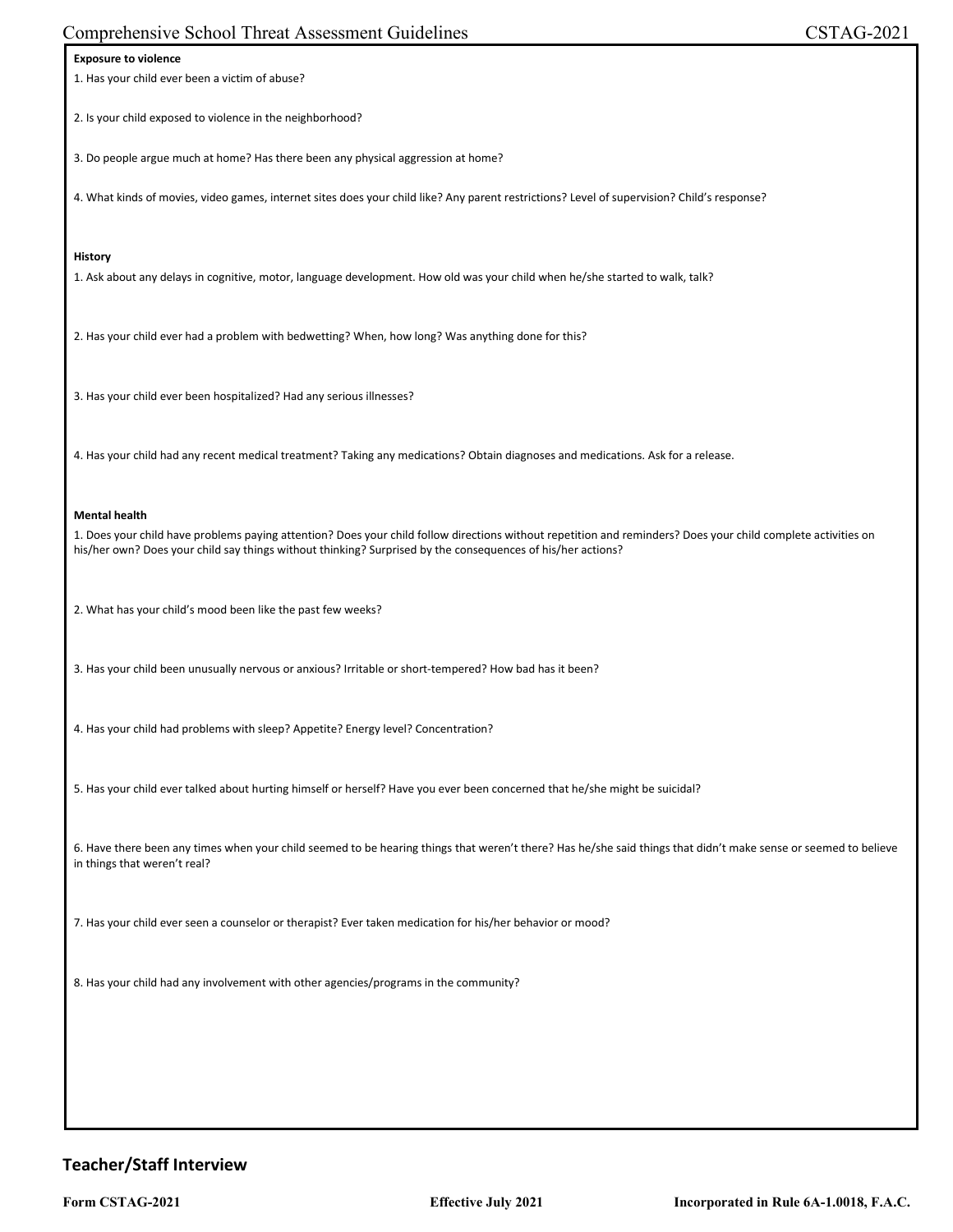| <b>Exposure to violence</b>                                                                                                                                     |  |
|-----------------------------------------------------------------------------------------------------------------------------------------------------------------|--|
| 1. Has your child ever been a victim of abuse?                                                                                                                  |  |
|                                                                                                                                                                 |  |
| 2. Is your child exposed to violence in the neighborhood?                                                                                                       |  |
|                                                                                                                                                                 |  |
| 3. Do people argue much at home? Has there been any physical aggression at home?                                                                                |  |
|                                                                                                                                                                 |  |
| 4. What kinds of movies, video games, internet sites does your child like? Any parent restrictions? Level of supervision? Child's response?                     |  |
|                                                                                                                                                                 |  |
|                                                                                                                                                                 |  |
|                                                                                                                                                                 |  |
| <b>History</b>                                                                                                                                                  |  |
| 1. Ask about any delays in cognitive, motor, language development. How old was your child when he/she started to walk, talk?                                    |  |
|                                                                                                                                                                 |  |
|                                                                                                                                                                 |  |
| 2. Has your child ever had a problem with bedwetting? When, how long? Was anything done for this?                                                               |  |
|                                                                                                                                                                 |  |
|                                                                                                                                                                 |  |
| 3. Has your child ever been hospitalized? Had any serious illnesses?                                                                                            |  |
|                                                                                                                                                                 |  |
|                                                                                                                                                                 |  |
|                                                                                                                                                                 |  |
| 4. Has your child had any recent medical treatment? Taking any medications? Obtain diagnoses and medications. Ask for a release.                                |  |
|                                                                                                                                                                 |  |
|                                                                                                                                                                 |  |
| <b>Mental health</b>                                                                                                                                            |  |
| 1. Does your child have problems paying attention? Does your child follow directions without repetition and reminders? Does your child complete activities on   |  |
| his/her own? Does your child say things without thinking? Surprised by the consequences of his/her actions?                                                     |  |
|                                                                                                                                                                 |  |
|                                                                                                                                                                 |  |
| 2. What has your child's mood been like the past few weeks?                                                                                                     |  |
|                                                                                                                                                                 |  |
|                                                                                                                                                                 |  |
| 3. Has your child been unusually nervous or anxious? Irritable or short-tempered? How bad has it been?                                                          |  |
|                                                                                                                                                                 |  |
|                                                                                                                                                                 |  |
|                                                                                                                                                                 |  |
| 4. Has your child had problems with sleep? Appetite? Energy level? Concentration?                                                                               |  |
|                                                                                                                                                                 |  |
|                                                                                                                                                                 |  |
| 5. Has your child ever talked about hurting himself or herself? Have you ever been concerned that he/she might be suicidal?                                     |  |
|                                                                                                                                                                 |  |
|                                                                                                                                                                 |  |
| 6. Have there been any times when your child seemed to be hearing things that weren't there? Has he/she said things that didn't make sense or seemed to believe |  |
| in things that weren't real?                                                                                                                                    |  |
|                                                                                                                                                                 |  |
|                                                                                                                                                                 |  |
| 7. Has your child ever seen a counselor or therapist? Ever taken medication for his/her behavior or mood?                                                       |  |
|                                                                                                                                                                 |  |
|                                                                                                                                                                 |  |
|                                                                                                                                                                 |  |
| 8. Has your child had any involvement with other agencies/programs in the community?                                                                            |  |
|                                                                                                                                                                 |  |
|                                                                                                                                                                 |  |
|                                                                                                                                                                 |  |
|                                                                                                                                                                 |  |
|                                                                                                                                                                 |  |
|                                                                                                                                                                 |  |
|                                                                                                                                                                 |  |

# **Teacher/Staff Interview**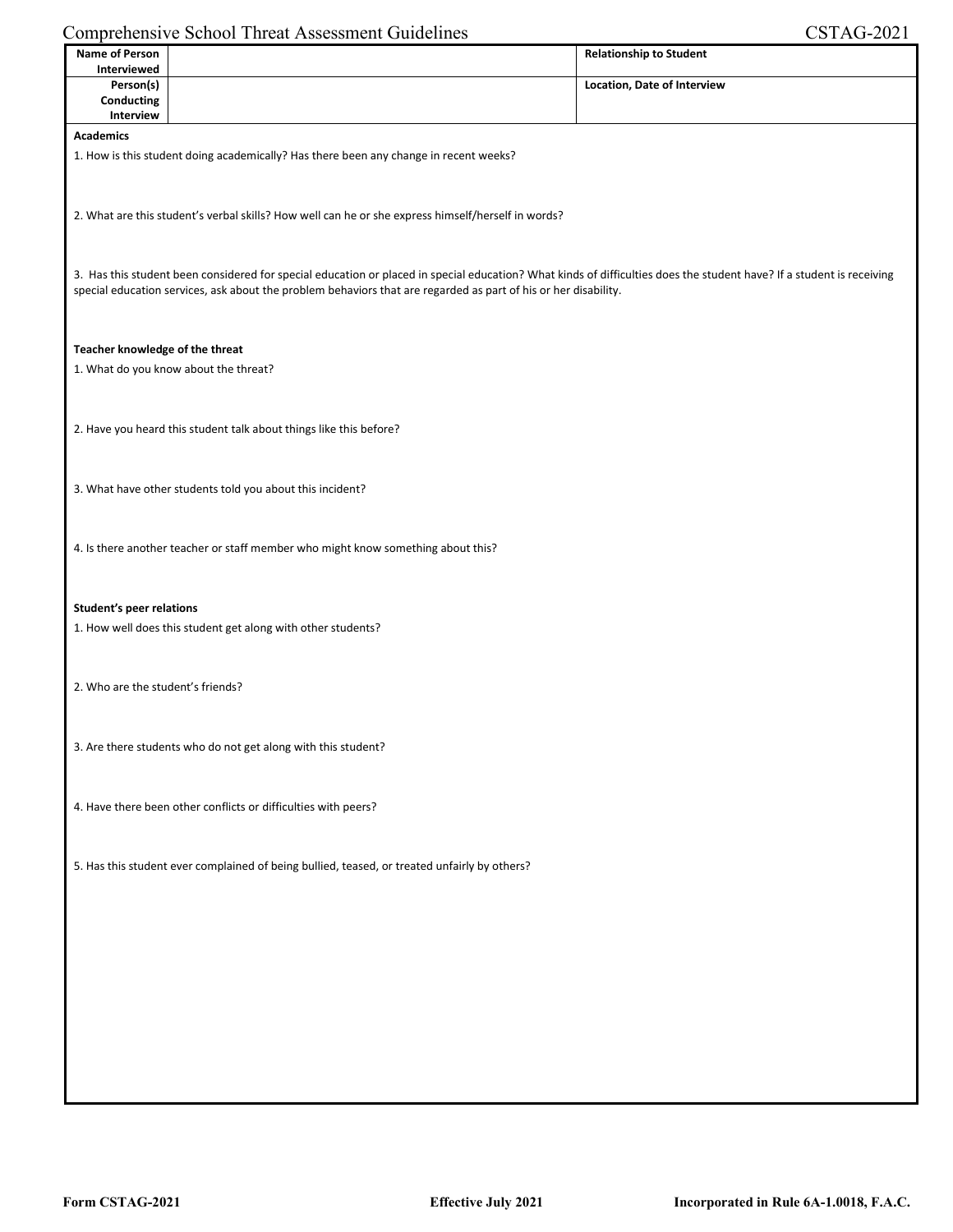| <b>Name of Person</b> | <b>Relationship to Student</b> |
|-----------------------|--------------------------------|
| Interviewed           |                                |
| Person(s)             | Location, Date of Interview    |
| Conducting            |                                |
| Interview             |                                |
|                       |                                |

# **Academics**

1. How is this student doing academically? Has there been any change in recent weeks?

2. What are this student's verbal skills? How well can he or she express himself/herself in words?

3. Has this student been considered for special education or placed in special education? What kinds of difficulties does the student have? If a student is receiving special education services, ask about the problem behaviors that are regarded as part of his or her disability.

## **Teacher knowledge of the threat**

1. What do you know about the threat?

2. Have you heard this student talk about things like this before?

3. What have other students told you about this incident?

4. Is there another teacher or staff member who might know something about this?

#### **Student's peer relations**

1. How well does this student get along with other students?

2. Who are the student's friends?

3. Are there students who do not get along with this student?

4. Have there been other conflicts or difficulties with peers?

5. Has this student ever complained of being bullied, teased, or treated unfairly by others?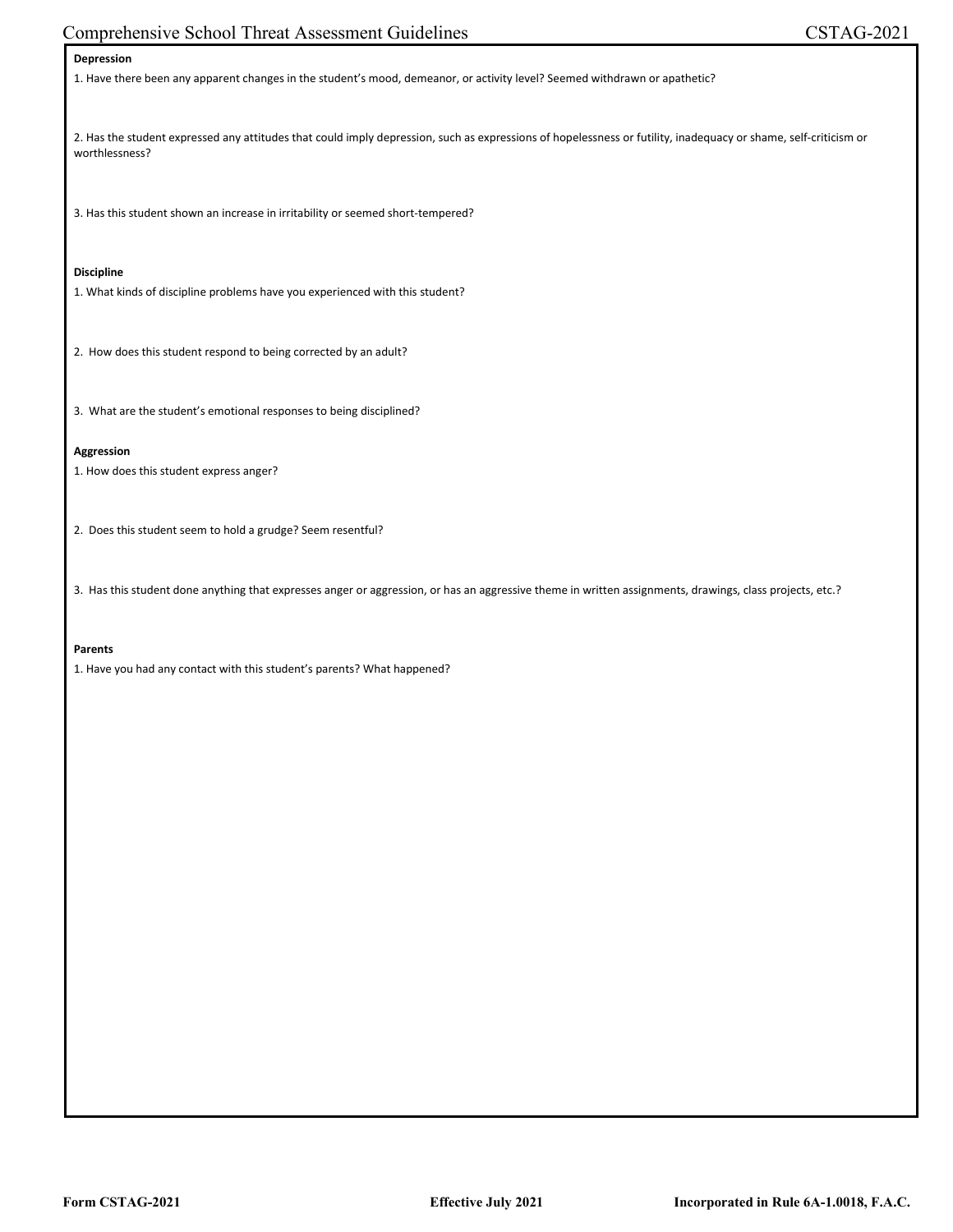# **Depression**

1. Have there been any apparent changes in the student's mood, demeanor, or activity level? Seemed withdrawn or apathetic?

2. Has the student expressed any attitudes that could imply depression, such as expressions of hopelessness or futility, inadequacy or shame, self-criticism or worthlessness?

3. Has this student shown an increase in irritability or seemed short-tempered?

# **Discipline**

1. What kinds of discipline problems have you experienced with this student?

2. How does this student respond to being corrected by an adult?

3. What are the student's emotional responses to being disciplined?

### **Aggression**

1. How does this student express anger?

2. Does this student seem to hold a grudge? Seem resentful?

3. Has this student done anything that expresses anger or aggression, or has an aggressive theme in written assignments, drawings, class projects, etc.?

### **Parents**

1. Have you had any contact with this student's parents? What happened?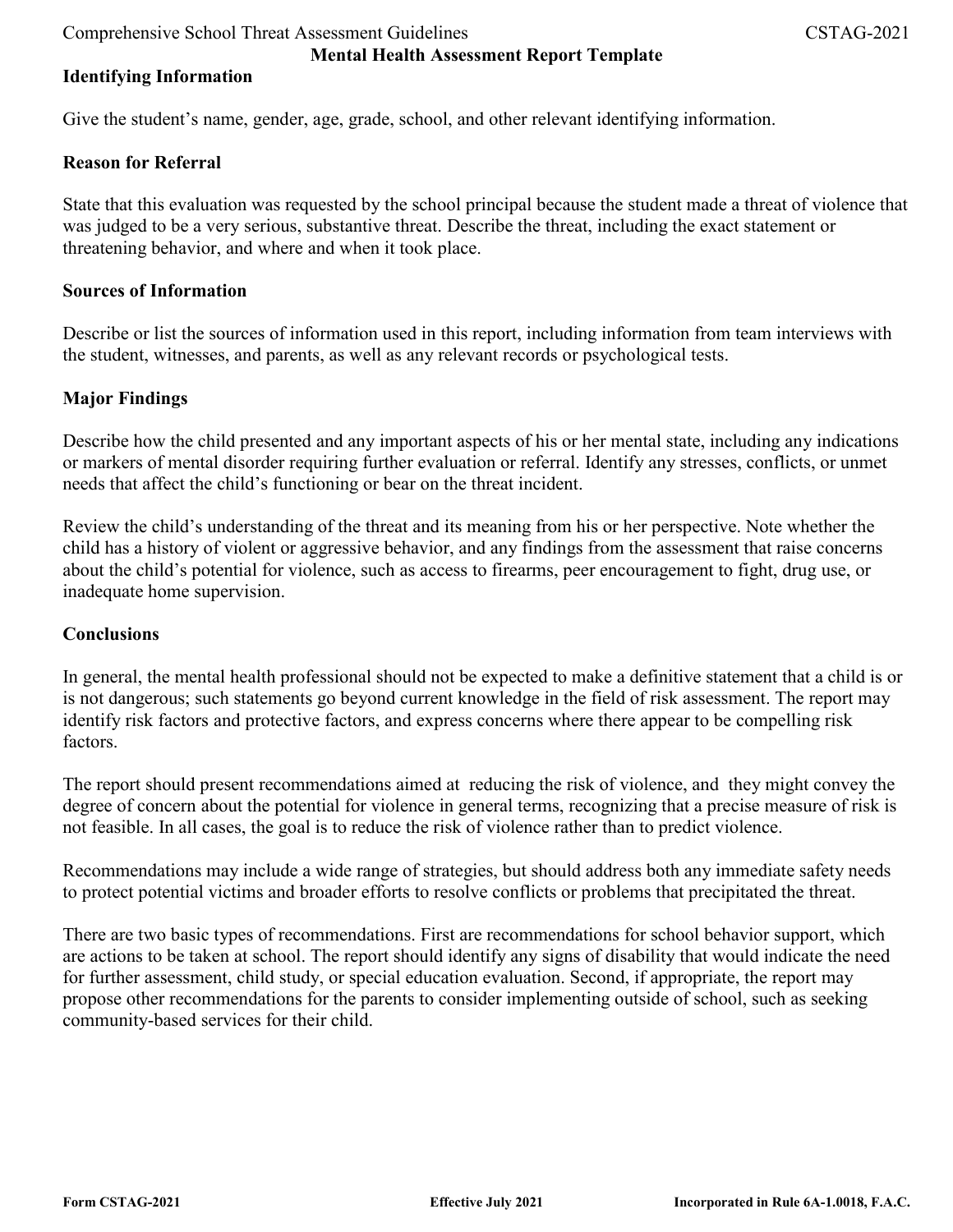**Mental Health Assessment Report Template**

# **Identifying Information**

Give the student's name, gender, age, grade, school, and other relevant identifying information.

# **Reason for Referral**

State that this evaluation was requested by the school principal because the student made a threat of violence that was judged to be a very serious, substantive threat. Describe the threat, including the exact statement or threatening behavior, and where and when it took place.

# **Sources of Information**

Describe or list the sources of information used in this report, including information from team interviews with the student, witnesses, and parents, as well as any relevant records or psychological tests.

# **Major Findings**

Describe how the child presented and any important aspects of his or her mental state, including any indications or markers of mental disorder requiring further evaluation or referral. Identify any stresses, conflicts, or unmet needs that affect the child's functioning or bear on the threat incident.

Review the child's understanding of the threat and its meaning from his or her perspective. Note whether the child has a history of violent or aggressive behavior, and any findings from the assessment that raise concerns about the child's potential for violence, such as access to firearms, peer encouragement to fight, drug use, or inadequate home supervision.

# **Conclusions**

In general, the mental health professional should not be expected to make a definitive statement that a child is or is not dangerous; such statements go beyond current knowledge in the field of risk assessment. The report may identify risk factors and protective factors, and express concerns where there appear to be compelling risk factors.

The report should present recommendations aimed at reducing the risk of violence, and they might convey the degree of concern about the potential for violence in general terms, recognizing that a precise measure of risk is not feasible. In all cases, the goal is to reduce the risk of violence rather than to predict violence.

Recommendations may include a wide range of strategies, but should address both any immediate safety needs to protect potential victims and broader efforts to resolve conflicts or problems that precipitated the threat.

There are two basic types of recommendations. First are recommendations for school behavior support, which are actions to be taken at school. The report should identify any signs of disability that would indicate the need for further assessment, child study, or special education evaluation. Second, if appropriate, the report may propose other recommendations for the parents to consider implementing outside of school, such as seeking community-based services for their child.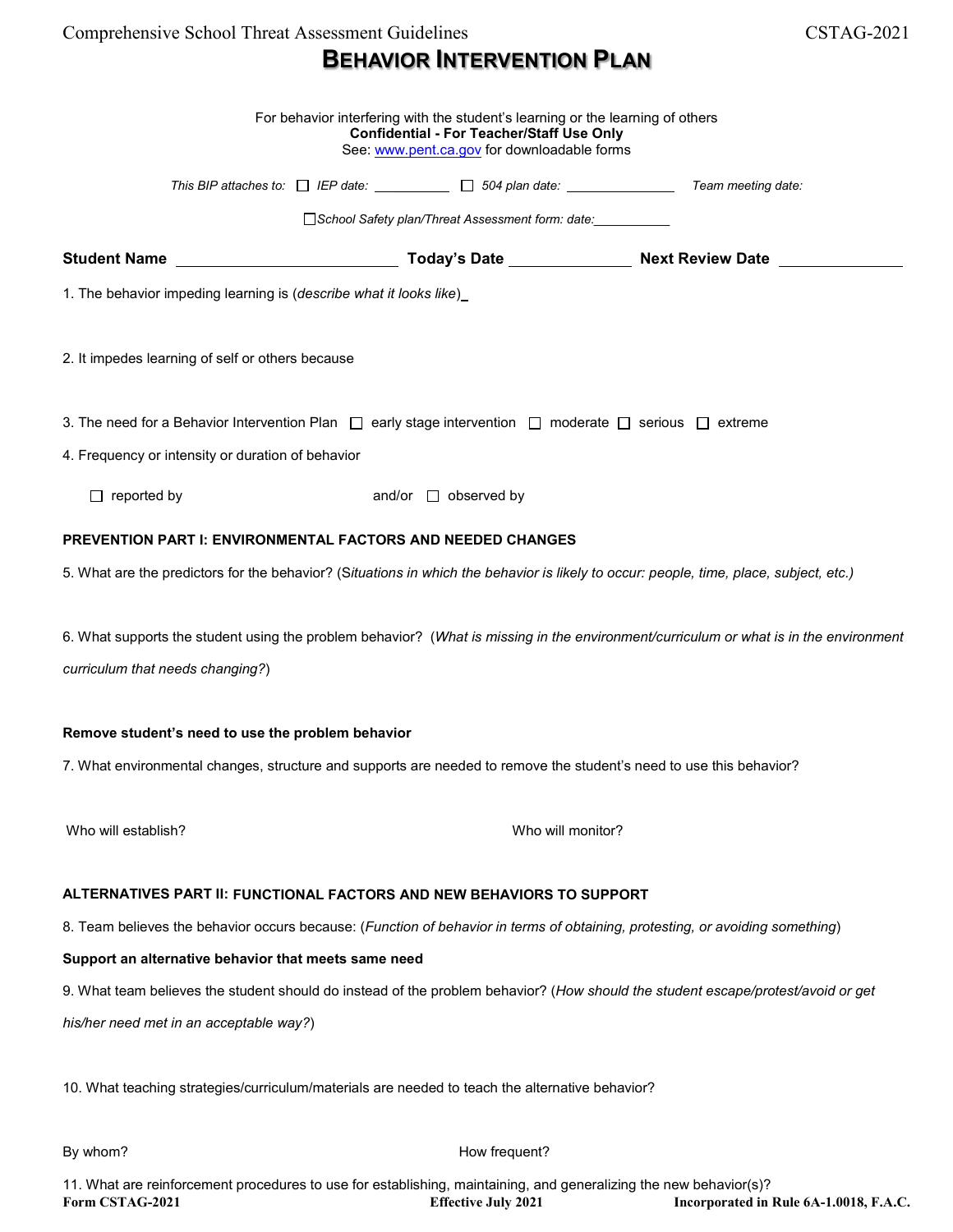# **BEHAVIOR INTERVENTION PLAN**

| <b>CSTAG-2021</b> |  |
|-------------------|--|
|-------------------|--|

|                                                                                                                                        | For behavior interfering with the student's learning or the learning of others<br><b>Confidential - For Teacher/Staff Use Only</b> |                   |  |
|----------------------------------------------------------------------------------------------------------------------------------------|------------------------------------------------------------------------------------------------------------------------------------|-------------------|--|
|                                                                                                                                        | See: www.pent.ca.gov for downloadable forms                                                                                        |                   |  |
|                                                                                                                                        | This BIP attaches to: $\Box$ IEP date: $\Box$ 504 plan date: $\Box$ Team meeting date:                                             |                   |  |
|                                                                                                                                        | □ School Safety plan/Threat Assessment form: date: ___________                                                                     |                   |  |
|                                                                                                                                        |                                                                                                                                    |                   |  |
| 1. The behavior impeding learning is (describe what it looks like)                                                                     |                                                                                                                                    |                   |  |
| 2. It impedes learning of self or others because                                                                                       |                                                                                                                                    |                   |  |
| 3. The need for a Behavior Intervention Plan $\Box$ early stage intervention $\Box$ moderate $\Box$ serious $\Box$ extreme             |                                                                                                                                    |                   |  |
| 4. Frequency or intensity or duration of behavior                                                                                      |                                                                                                                                    |                   |  |
| $\Box$ reported by                                                                                                                     | and/or $\Box$ observed by                                                                                                          |                   |  |
| <b>PREVENTION PART I: ENVIRONMENTAL FACTORS AND NEEDED CHANGES</b>                                                                     |                                                                                                                                    |                   |  |
| 5. What are the predictors for the behavior? (Situations in which the behavior is likely to occur: people, time, place, subject, etc.) |                                                                                                                                    |                   |  |
| 6. What supports the student using the problem behavior? (What is missing in the environment/curriculum or what is in the environment  |                                                                                                                                    |                   |  |
| curriculum that needs changing?)                                                                                                       |                                                                                                                                    |                   |  |
| Remove student's need to use the problem behavior                                                                                      |                                                                                                                                    |                   |  |
| 7. What environmental changes, structure and supports are needed to remove the student's need to use this behavior?                    |                                                                                                                                    |                   |  |
| Who will establish?                                                                                                                    |                                                                                                                                    | Who will monitor? |  |
| ALTERNATIVES PART II: FUNCTIONAL FACTORS AND NEW BEHAVIORS TO SUPPORT                                                                  |                                                                                                                                    |                   |  |
| 8. Team believes the behavior occurs because: (Function of behavior in terms of obtaining, protesting, or avoiding something)          |                                                                                                                                    |                   |  |
| Support an alternative behavior that meets same need                                                                                   |                                                                                                                                    |                   |  |
| 9. What team believes the student should do instead of the problem behavior? (How should the student escape/protest/avoid or get       |                                                                                                                                    |                   |  |
| his/her need met in an acceptable way?)                                                                                                |                                                                                                                                    |                   |  |
| 10. What teaching strategies/curriculum/materials are needed to teach the alternative behavior?                                        |                                                                                                                                    |                   |  |
| By whom?                                                                                                                               | How frequent?                                                                                                                      |                   |  |

**Form CSTAG-2021 Effective July 2021 Incorporated in Rule 6A-1.0018, F.A.C.** 11. What are reinforcement procedures to use for establishing, maintaining, and generalizing the new behavior(s)?